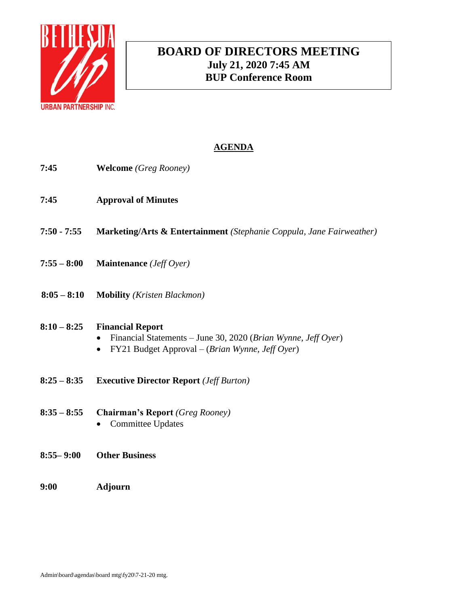

# **BOARD OF DIRECTORS MEETING July 21, 2020 7:45 AM BUP Conference Room**

# **AGENDA**

- **7:45 Welcome** *(Greg Rooney)*
- **7:45 Approval of Minutes**
- **7:50 - 7:55 Marketing/Arts & Entertainment** *(Stephanie Coppula, Jane Fairweather)*
- **7:55 – 8:00 Maintenance** *(Jeff Oyer)*
- **8:05 – 8:10 Mobility** *(Kristen Blackmon)*

### **8:10 – 8:25 Financial Report**

- Financial Statements June 30, 2020 (*Brian Wynne, Jeff Oyer*)
- FY21 Budget Approval (*Brian Wynne, Jeff Oyer*)
- **8:25 – 8:35 Executive Director Report** *(Jeff Burton)*
- **8:35 – 8:55 Chairman's Report** *(Greg Rooney)*
	- Committee Updates
- **8:55– 9:00 Other Business**
- **9:00 Adjourn**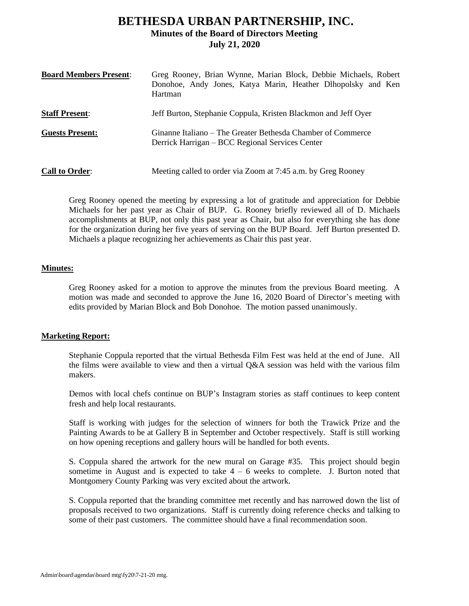## **BETHESDA URBAN PARTNERSHIP, INC. Minutes of the Board of Directors Meeting July 21, 2020**

| <b>Board Members Present:</b> | Greg Rooney, Brian Wynne, Marian Block, Debbie Michaels, Robert<br>Donohoe, Andy Jones, Katya Marin, Heather Dlhopolsky and Ken<br>Hartman |
|-------------------------------|--------------------------------------------------------------------------------------------------------------------------------------------|
| <b>Staff Present:</b>         | Jeff Burton, Stephanie Coppula, Kristen Blackmon and Jeff Oyer                                                                             |
| <b>Guests Present:</b>        | Ginanne Italiano – The Greater Bethesda Chamber of Commerce<br>Derrick Harrigan – BCC Regional Services Center                             |
| <b>Call to Order:</b>         | Meeting called to order via Zoom at 7:45 a.m. by Greg Rooney                                                                               |

Greg Rooney opened the meeting by expressing a lot of gratitude and appreciation for Debbie Michaels for her past year as Chair of BUP. G. Rooney briefly reviewed all of D. Michaels accomplishments at BUP, not only this past year as Chair, but also for everything she has done for the organization during her five years of serving on the BUP Board. Jeff Burton presented D. Michaels a plaque recognizing her achievements as Chair this past year.

#### **Minutes:**

Greg Rooney asked for a motion to approve the minutes from the previous Board meeting. A motion was made and seconded to approve the June 16, 2020 Board of Director's meeting with edits provided by Marian Block and Bob Donohoe. The motion passed unanimously.

#### **Marketing Report:**

Stephanie Coppula reported that the virtual Bethesda Film Fest was held at the end of June. All the films were available to view and then a virtual Q&A session was held with the various film makers.

Demos with local chefs continue on BUP's Instagram stories as staff continues to keep content fresh and help local restaurants.

Staff is working with judges for the selection of winners for both the Trawick Prize and the Painting Awards to be at Gallery B in September and October respectively. Staff is still working on how opening receptions and gallery hours will be handled for both events.

S. Coppula shared the artwork for the new mural on Garage #35. This project should begin sometime in August and is expected to take  $4 - 6$  weeks to complete. J. Burton noted that Montgomery County Parking was very excited about the artwork.

S. Coppula reported that the branding committee met recently and has narrowed down the list of proposals received to two organizations. Staff is currently doing reference checks and talking to some of their past customers. The committee should have a final recommendation soon.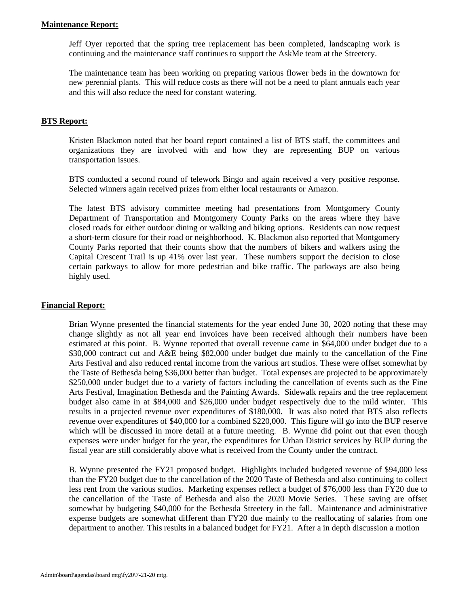#### **Maintenance Report:**

Jeff Oyer reported that the spring tree replacement has been completed, landscaping work is continuing and the maintenance staff continues to support the AskMe team at the Streetery.

The maintenance team has been working on preparing various flower beds in the downtown for new perennial plants. This will reduce costs as there will not be a need to plant annuals each year and this will also reduce the need for constant watering.

#### **BTS Report:**

Kristen Blackmon noted that her board report contained a list of BTS staff, the committees and organizations they are involved with and how they are representing BUP on various transportation issues.

BTS conducted a second round of telework Bingo and again received a very positive response. Selected winners again received prizes from either local restaurants or Amazon.

The latest BTS advisory committee meeting had presentations from Montgomery County Department of Transportation and Montgomery County Parks on the areas where they have closed roads for either outdoor dining or walking and biking options. Residents can now request a short-term closure for their road or neighborhood. K. Blackmon also reported that Montgomery County Parks reported that their counts show that the numbers of bikers and walkers using the Capital Crescent Trail is up 41% over last year. These numbers support the decision to close certain parkways to allow for more pedestrian and bike traffic. The parkways are also being highly used.

#### **Financial Report:**

Brian Wynne presented the financial statements for the year ended June 30, 2020 noting that these may change slightly as not all year end invoices have been received although their numbers have been estimated at this point. B. Wynne reported that overall revenue came in \$64,000 under budget due to a \$30,000 contract cut and A&E being \$82,000 under budget due mainly to the cancellation of the Fine Arts Festival and also reduced rental income from the various art studios. These were offset somewhat by the Taste of Bethesda being \$36,000 better than budget. Total expenses are projected to be approximately \$250,000 under budget due to a variety of factors including the cancellation of events such as the Fine Arts Festival, Imagination Bethesda and the Painting Awards. Sidewalk repairs and the tree replacement budget also came in at \$84,000 and \$26,000 under budget respectively due to the mild winter. This results in a projected revenue over expenditures of \$180,000. It was also noted that BTS also reflects revenue over expenditures of \$40,000 for a combined \$220,000. This figure will go into the BUP reserve which will be discussed in more detail at a future meeting. B. Wynne did point out that even though expenses were under budget for the year, the expenditures for Urban District services by BUP during the fiscal year are still considerably above what is received from the County under the contract.

B. Wynne presented the FY21 proposed budget. Highlights included budgeted revenue of \$94,000 less than the FY20 budget due to the cancellation of the 2020 Taste of Bethesda and also continuing to collect less rent from the various studios. Marketing expenses reflect a budget of \$76,000 less than FY20 due to the cancellation of the Taste of Bethesda and also the 2020 Movie Series. These saving are offset somewhat by budgeting \$40,000 for the Bethesda Streetery in the fall. Maintenance and administrative expense budgets are somewhat different than FY20 due mainly to the reallocating of salaries from one department to another. This results in a balanced budget for FY21. After a in depth discussion a motion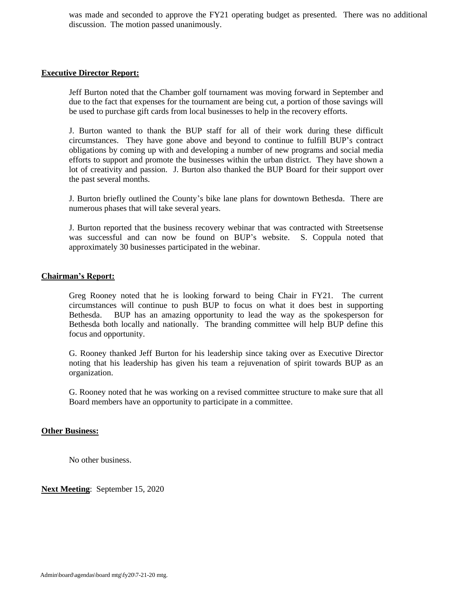was made and seconded to approve the FY21 operating budget as presented. There was no additional discussion. The motion passed unanimously.

#### **Executive Director Report:**

Jeff Burton noted that the Chamber golf tournament was moving forward in September and due to the fact that expenses for the tournament are being cut, a portion of those savings will be used to purchase gift cards from local businesses to help in the recovery efforts.

J. Burton wanted to thank the BUP staff for all of their work during these difficult circumstances. They have gone above and beyond to continue to fulfill BUP's contract obligations by coming up with and developing a number of new programs and social media efforts to support and promote the businesses within the urban district. They have shown a lot of creativity and passion. J. Burton also thanked the BUP Board for their support over the past several months.

J. Burton briefly outlined the County's bike lane plans for downtown Bethesda. There are numerous phases that will take several years.

J. Burton reported that the business recovery webinar that was contracted with Streetsense was successful and can now be found on BUP's website. S. Coppula noted that approximately 30 businesses participated in the webinar.

#### **Chairman's Report:**

Greg Rooney noted that he is looking forward to being Chair in FY21. The current circumstances will continue to push BUP to focus on what it does best in supporting Bethesda. BUP has an amazing opportunity to lead the way as the spokesperson for Bethesda both locally and nationally. The branding committee will help BUP define this focus and opportunity.

G. Rooney thanked Jeff Burton for his leadership since taking over as Executive Director noting that his leadership has given his team a rejuvenation of spirit towards BUP as an organization.

G. Rooney noted that he was working on a revised committee structure to make sure that all Board members have an opportunity to participate in a committee.

#### **Other Business:**

No other business.

**Next Meeting**: September 15, 2020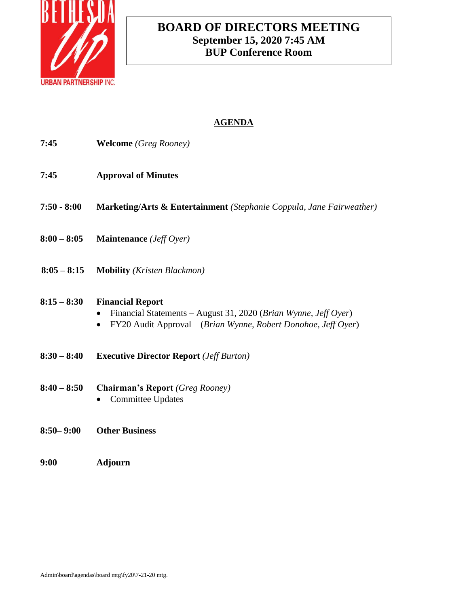

# **BOARD OF DIRECTORS MEETING September 15, 2020 7:45 AM BUP Conference Room**

# **AGENDA**

| 7:45          | <b>Welcome</b> (Greg Rooney)                                                                                                                                 |
|---------------|--------------------------------------------------------------------------------------------------------------------------------------------------------------|
| 7:45          | <b>Approval of Minutes</b>                                                                                                                                   |
| $7:50 - 8:00$ | Marketing/Arts & Entertainment (Stephanie Coppula, Jane Fairweather)                                                                                         |
| $8:00 - 8:05$ | <b>Maintenance</b> ( <i>Jeff Oyer</i> )                                                                                                                      |
| $8:05 - 8:15$ | <b>Mobility</b> ( <i>Kristen Blackmon</i> )                                                                                                                  |
| $8:15 - 8:30$ | <b>Financial Report</b><br>Financial Statements - August 31, 2020 (Brian Wynne, Jeff Oyer)<br>FY20 Audit Approval – (Brian Wynne, Robert Donohoe, Jeff Oyer) |
| $8:30 - 8:40$ | <b>Executive Director Report</b> ( <i>Jeff Burton</i> )                                                                                                      |
| $8:40 - 8:50$ | <b>Chairman's Report</b> (Greg Rooney)<br><b>Committee Updates</b>                                                                                           |
| $8:50 - 9:00$ | <b>Other Business</b>                                                                                                                                        |

**9:00 Adjourn**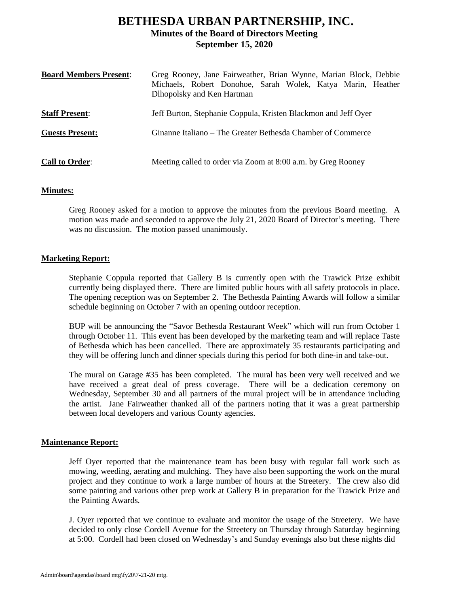# **BETHESDA URBAN PARTNERSHIP, INC. Minutes of the Board of Directors Meeting September 15, 2020**

| <b>Board Members Present:</b> | Greg Rooney, Jane Fairweather, Brian Wynne, Marian Block, Debbie<br>Michaels, Robert Donohoe, Sarah Wolek, Katya Marin, Heather<br>Dlhopolsky and Ken Hartman |
|-------------------------------|---------------------------------------------------------------------------------------------------------------------------------------------------------------|
| <b>Staff Present:</b>         | Jeff Burton, Stephanie Coppula, Kristen Blackmon and Jeff Oyer                                                                                                |
| <b>Guests Present:</b>        | Ginanne Italiano – The Greater Bethesda Chamber of Commerce                                                                                                   |
| <b>Call to Order:</b>         | Meeting called to order via Zoom at 8:00 a.m. by Greg Rooney                                                                                                  |

#### **Minutes:**

Greg Rooney asked for a motion to approve the minutes from the previous Board meeting. A motion was made and seconded to approve the July 21, 2020 Board of Director's meeting. There was no discussion. The motion passed unanimously.

#### **Marketing Report:**

Stephanie Coppula reported that Gallery B is currently open with the Trawick Prize exhibit currently being displayed there. There are limited public hours with all safety protocols in place. The opening reception was on September 2. The Bethesda Painting Awards will follow a similar schedule beginning on October 7 with an opening outdoor reception.

BUP will be announcing the "Savor Bethesda Restaurant Week" which will run from October 1 through October 11. This event has been developed by the marketing team and will replace Taste of Bethesda which has been cancelled. There are approximately 35 restaurants participating and they will be offering lunch and dinner specials during this period for both dine-in and take-out.

The mural on Garage #35 has been completed. The mural has been very well received and we have received a great deal of press coverage. There will be a dedication ceremony on Wednesday, September 30 and all partners of the mural project will be in attendance including the artist. Jane Fairweather thanked all of the partners noting that it was a great partnership between local developers and various County agencies.

#### **Maintenance Report:**

Jeff Oyer reported that the maintenance team has been busy with regular fall work such as mowing, weeding, aerating and mulching. They have also been supporting the work on the mural project and they continue to work a large number of hours at the Streetery. The crew also did some painting and various other prep work at Gallery B in preparation for the Trawick Prize and the Painting Awards.

J. Oyer reported that we continue to evaluate and monitor the usage of the Streetery. We have decided to only close Cordell Avenue for the Streetery on Thursday through Saturday beginning at 5:00. Cordell had been closed on Wednesday's and Sunday evenings also but these nights did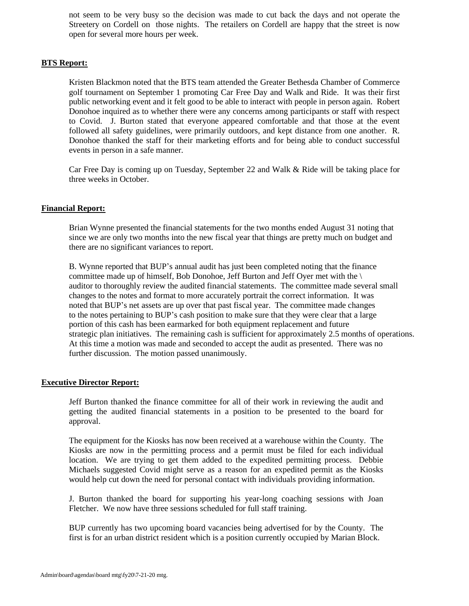not seem to be very busy so the decision was made to cut back the days and not operate the Streetery on Cordell on those nights. The retailers on Cordell are happy that the street is now open for several more hours per week.

#### **BTS Report:**

Kristen Blackmon noted that the BTS team attended the Greater Bethesda Chamber of Commerce golf tournament on September 1 promoting Car Free Day and Walk and Ride. It was their first public networking event and it felt good to be able to interact with people in person again. Robert Donohoe inquired as to whether there were any concerns among participants or staff with respect to Covid. J. Burton stated that everyone appeared comfortable and that those at the event followed all safety guidelines, were primarily outdoors, and kept distance from one another. R. Donohoe thanked the staff for their marketing efforts and for being able to conduct successful events in person in a safe manner.

Car Free Day is coming up on Tuesday, September 22 and Walk & Ride will be taking place for three weeks in October.

#### **Financial Report:**

Brian Wynne presented the financial statements for the two months ended August 31 noting that since we are only two months into the new fiscal year that things are pretty much on budget and there are no significant variances to report.

B. Wynne reported that BUP's annual audit has just been completed noting that the finance committee made up of himself, Bob Donohoe, Jeff Burton and Jeff Oyer met with the \ auditor to thoroughly review the audited financial statements. The committee made several small changes to the notes and format to more accurately portrait the correct information. It was noted that BUP's net assets are up over that past fiscal year. The committee made changes to the notes pertaining to BUP's cash position to make sure that they were clear that a large portion of this cash has been earmarked for both equipment replacement and future strategic plan initiatives. The remaining cash is sufficient for approximately 2.5 months of operations. At this time a motion was made and seconded to accept the audit as presented. There was no further discussion. The motion passed unanimously.

#### **Executive Director Report:**

Jeff Burton thanked the finance committee for all of their work in reviewing the audit and getting the audited financial statements in a position to be presented to the board for approval.

The equipment for the Kiosks has now been received at a warehouse within the County. The Kiosks are now in the permitting process and a permit must be filed for each individual location. We are trying to get them added to the expedited permitting process. Debbie Michaels suggested Covid might serve as a reason for an expedited permit as the Kiosks would help cut down the need for personal contact with individuals providing information.

J. Burton thanked the board for supporting his year-long coaching sessions with Joan Fletcher. We now have three sessions scheduled for full staff training.

BUP currently has two upcoming board vacancies being advertised for by the County. The first is for an urban district resident which is a position currently occupied by Marian Block.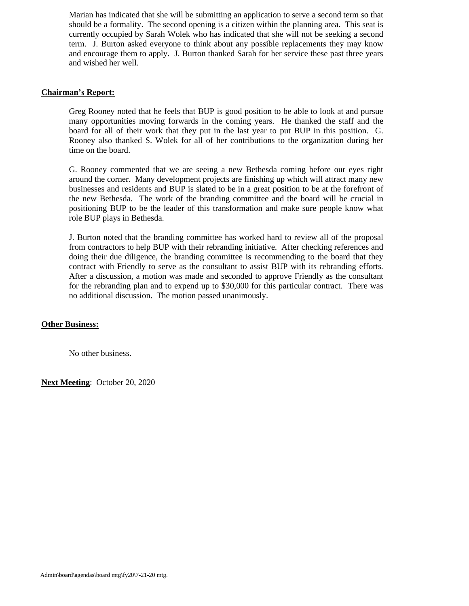Marian has indicated that she will be submitting an application to serve a second term so that should be a formality. The second opening is a citizen within the planning area. This seat is currently occupied by Sarah Wolek who has indicated that she will not be seeking a second term. J. Burton asked everyone to think about any possible replacements they may know and encourage them to apply. J. Burton thanked Sarah for her service these past three years and wished her well.

#### **Chairman's Report:**

Greg Rooney noted that he feels that BUP is good position to be able to look at and pursue many opportunities moving forwards in the coming years. He thanked the staff and the board for all of their work that they put in the last year to put BUP in this position. G. Rooney also thanked S. Wolek for all of her contributions to the organization during her time on the board.

G. Rooney commented that we are seeing a new Bethesda coming before our eyes right around the corner. Many development projects are finishing up which will attract many new businesses and residents and BUP is slated to be in a great position to be at the forefront of the new Bethesda. The work of the branding committee and the board will be crucial in positioning BUP to be the leader of this transformation and make sure people know what role BUP plays in Bethesda.

J. Burton noted that the branding committee has worked hard to review all of the proposal from contractors to help BUP with their rebranding initiative. After checking references and doing their due diligence, the branding committee is recommending to the board that they contract with Friendly to serve as the consultant to assist BUP with its rebranding efforts. After a discussion, a motion was made and seconded to approve Friendly as the consultant for the rebranding plan and to expend up to \$30,000 for this particular contract. There was no additional discussion. The motion passed unanimously.

#### **Other Business:**

No other business.

**Next Meeting**: October 20, 2020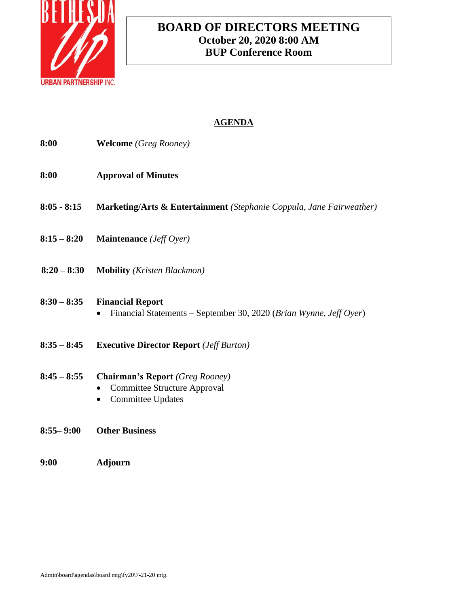

# **BOARD OF DIRECTORS MEETING October 20, 2020 8:00 AM BUP Conference Room**

# **AGENDA**

- **8:00 Welcome** *(Greg Rooney)*
- **8:00 Approval of Minutes**
- **8:05 - 8:15 Marketing/Arts & Entertainment** *(Stephanie Coppula, Jane Fairweather)*
- **8:15 – 8:20 Maintenance** *(Jeff Oyer)*
- **8:20 – 8:30 Mobility** *(Kristen Blackmon)*

### **8:30 – 8:35 Financial Report**

- Financial Statements September 30, 2020 (*Brian Wynne, Jeff Oyer*)
- **8:35 – 8:45 Executive Director Report** *(Jeff Burton)*

### **8:45 – 8:55 Chairman's Report** *(Greg Rooney)*

- Committee Structure Approval
- Committee Updates
- **8:55– 9:00 Other Business**
- **9:00 Adjourn**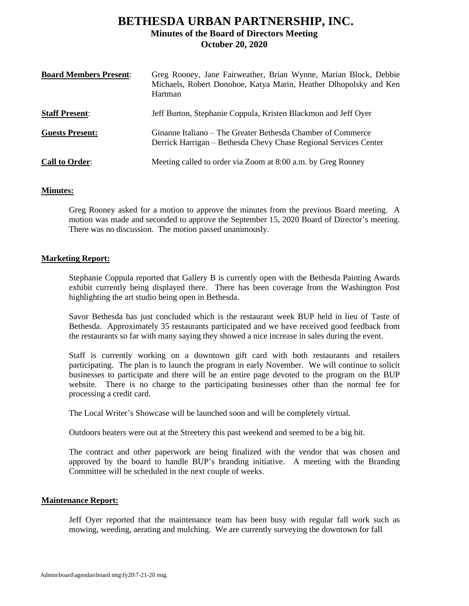## **BETHESDA URBAN PARTNERSHIP, INC. Minutes of the Board of Directors Meeting October 20, 2020**

| <b>Board Members Present:</b> | Greg Rooney, Jane Fairweather, Brian Wynne, Marian Block, Debbie<br>Michaels, Robert Donohoe, Katya Marin, Heather Dlhopolsky and Ken<br>Hartman |
|-------------------------------|--------------------------------------------------------------------------------------------------------------------------------------------------|
| <b>Staff Present:</b>         | Jeff Burton, Stephanie Coppula, Kristen Blackmon and Jeff Oyer                                                                                   |
| <b>Guests Present:</b>        | Ginanne Italiano – The Greater Bethesda Chamber of Commerce<br>Derrick Harrigan – Bethesda Chevy Chase Regional Services Center                  |
| <b>Call to Order:</b>         | Meeting called to order via Zoom at 8:00 a.m. by Greg Rooney                                                                                     |

#### **Minutes:**

Greg Rooney asked for a motion to approve the minutes from the previous Board meeting. A motion was made and seconded to approve the September 15, 2020 Board of Director's meeting. There was no discussion. The motion passed unanimously.

#### **Marketing Report:**

Stephanie Coppula reported that Gallery B is currently open with the Bethesda Painting Awards exhibit currently being displayed there. There has been coverage from the Washington Post highlighting the art studio being open in Bethesda.

Savor Bethesda has just concluded which is the restaurant week BUP held in lieu of Taste of Bethesda. Approximately 35 restaurants participated and we have received good feedback from the restaurants so far with many saying they showed a nice increase in sales during the event.

Staff is currently working on a downtown gift card with both restaurants and retailers participating. The plan is to launch the program in early November. We will continue to solicit businesses to participate and there will be an entire page devoted to the program on the BUP website. There is no charge to the participating businesses other than the normal fee for processing a credit card.

The Local Writer's Showcase will be launched soon and will be completely virtual.

Outdoors heaters were out at the Streetery this past weekend and seemed to be a big hit.

The contract and other paperwork are being finalized with the vendor that was chosen and approved by the board to handle BUP's branding initiative. A meeting with the Branding Committee will be scheduled in the next couple of weeks.

#### **Maintenance Report:**

Jeff Oyer reported that the maintenance team has been busy with regular fall work such as mowing, weeding, aerating and mulching. We are currently surveying the downtown for fall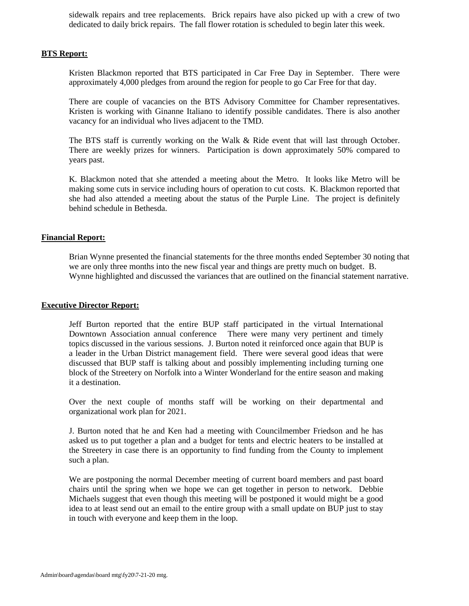sidewalk repairs and tree replacements. Brick repairs have also picked up with a crew of two dedicated to daily brick repairs. The fall flower rotation is scheduled to begin later this week.

#### **BTS Report:**

Kristen Blackmon reported that BTS participated in Car Free Day in September. There were approximately 4,000 pledges from around the region for people to go Car Free for that day.

There are couple of vacancies on the BTS Advisory Committee for Chamber representatives. Kristen is working with Ginanne Italiano to identify possible candidates. There is also another vacancy for an individual who lives adjacent to the TMD.

The BTS staff is currently working on the Walk & Ride event that will last through October. There are weekly prizes for winners. Participation is down approximately 50% compared to years past.

K. Blackmon noted that she attended a meeting about the Metro. It looks like Metro will be making some cuts in service including hours of operation to cut costs. K. Blackmon reported that she had also attended a meeting about the status of the Purple Line. The project is definitely behind schedule in Bethesda.

#### **Financial Report:**

Brian Wynne presented the financial statements for the three months ended September 30 noting that we are only three months into the new fiscal year and things are pretty much on budget. B. Wynne highlighted and discussed the variances that are outlined on the financial statement narrative.

#### **Executive Director Report:**

Jeff Burton reported that the entire BUP staff participated in the virtual International Downtown Association annual conference There were many very pertinent and timely topics discussed in the various sessions. J. Burton noted it reinforced once again that BUP is a leader in the Urban District management field. There were several good ideas that were discussed that BUP staff is talking about and possibly implementing including turning one block of the Streetery on Norfolk into a Winter Wonderland for the entire season and making it a destination.

Over the next couple of months staff will be working on their departmental and organizational work plan for 2021.

J. Burton noted that he and Ken had a meeting with Councilmember Friedson and he has asked us to put together a plan and a budget for tents and electric heaters to be installed at the Streetery in case there is an opportunity to find funding from the County to implement such a plan.

We are postponing the normal December meeting of current board members and past board chairs until the spring when we hope we can get together in person to network. Debbie Michaels suggest that even though this meeting will be postponed it would might be a good idea to at least send out an email to the entire group with a small update on BUP just to stay in touch with everyone and keep them in the loop.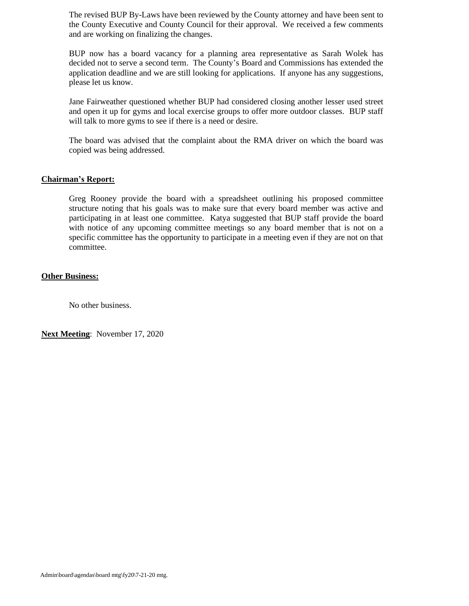The revised BUP By-Laws have been reviewed by the County attorney and have been sent to the County Executive and County Council for their approval. We received a few comments and are working on finalizing the changes.

BUP now has a board vacancy for a planning area representative as Sarah Wolek has decided not to serve a second term. The County's Board and Commissions has extended the application deadline and we are still looking for applications. If anyone has any suggestions, please let us know.

Jane Fairweather questioned whether BUP had considered closing another lesser used street and open it up for gyms and local exercise groups to offer more outdoor classes. BUP staff will talk to more gyms to see if there is a need or desire.

The board was advised that the complaint about the RMA driver on which the board was copied was being addressed.

#### **Chairman's Report:**

Greg Rooney provide the board with a spreadsheet outlining his proposed committee structure noting that his goals was to make sure that every board member was active and participating in at least one committee. Katya suggested that BUP staff provide the board with notice of any upcoming committee meetings so any board member that is not on a specific committee has the opportunity to participate in a meeting even if they are not on that committee.

#### **Other Business:**

No other business.

**Next Meeting**: November 17, 2020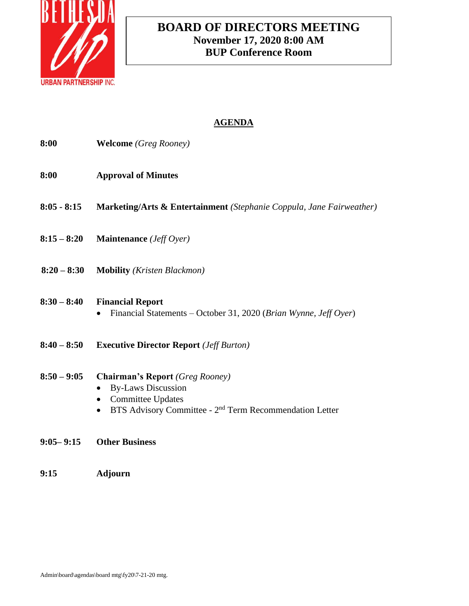

# **BOARD OF DIRECTORS MEETING November 17, 2020 8:00 AM BUP Conference Room**

# **AGENDA**

| 8:00          | <b>Welcome</b> (Greg Rooney)                                                                                                                                                           |
|---------------|----------------------------------------------------------------------------------------------------------------------------------------------------------------------------------------|
| 8:00          | <b>Approval of Minutes</b>                                                                                                                                                             |
| $8:05 - 8:15$ | <b>Marketing/Arts &amp; Entertainment</b> (Stephanie Coppula, Jane Fairweather)                                                                                                        |
| $8:15 - 8:20$ | <b>Maintenance</b> ( <i>Jeff Oyer</i> )                                                                                                                                                |
| $8:20 - 8:30$ | <b>Mobility</b> ( <i>Kristen Blackmon</i> )                                                                                                                                            |
| $8:30 - 8:40$ | <b>Financial Report</b><br>Financial Statements – October 31, 2020 (Brian Wynne, Jeff Oyer)                                                                                            |
| $8:40 - 8:50$ | <b>Executive Director Report</b> ( <i>Jeff Burton</i> )                                                                                                                                |
| $8:50 - 9:05$ | <b>Chairman's Report (Greg Rooney)</b><br><b>By-Laws Discussion</b><br><b>Committee Updates</b><br>$\bullet$<br>BTS Advisory Committee - $2nd$ Term Recommendation Letter<br>$\bullet$ |
| $9:05 - 9:15$ | <b>Other Business</b>                                                                                                                                                                  |

**9:15 Adjourn**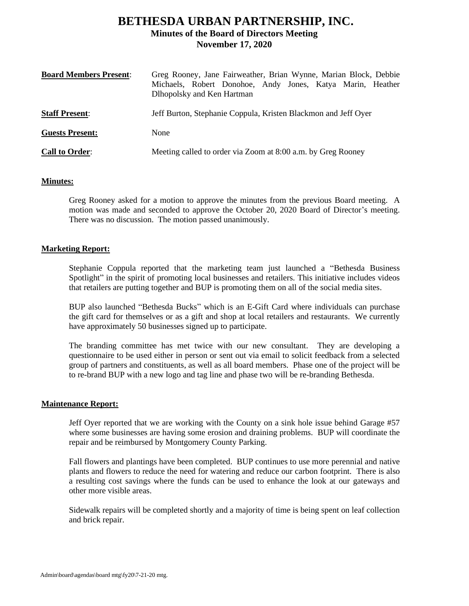# **BETHESDA URBAN PARTNERSHIP, INC. Minutes of the Board of Directors Meeting November 17, 2020**

| <b>Board Members Present:</b> | Greg Rooney, Jane Fairweather, Brian Wynne, Marian Block, Debbie<br>Michaels, Robert Donohoe, Andy Jones, Katya Marin, Heather<br>Dlhopolsky and Ken Hartman |
|-------------------------------|--------------------------------------------------------------------------------------------------------------------------------------------------------------|
| <b>Staff Present:</b>         | Jeff Burton, Stephanie Coppula, Kristen Blackmon and Jeff Oyer                                                                                               |
| <b>Guests Present:</b>        | None                                                                                                                                                         |
| <b>Call to Order:</b>         | Meeting called to order via Zoom at 8:00 a.m. by Greg Rooney                                                                                                 |

#### **Minutes:**

Greg Rooney asked for a motion to approve the minutes from the previous Board meeting. A motion was made and seconded to approve the October 20, 2020 Board of Director's meeting. There was no discussion. The motion passed unanimously.

#### **Marketing Report:**

Stephanie Coppula reported that the marketing team just launched a "Bethesda Business Spotlight" in the spirit of promoting local businesses and retailers. This initiative includes videos that retailers are putting together and BUP is promoting them on all of the social media sites.

BUP also launched "Bethesda Bucks" which is an E-Gift Card where individuals can purchase the gift card for themselves or as a gift and shop at local retailers and restaurants. We currently have approximately 50 businesses signed up to participate.

The branding committee has met twice with our new consultant. They are developing a questionnaire to be used either in person or sent out via email to solicit feedback from a selected group of partners and constituents, as well as all board members. Phase one of the project will be to re-brand BUP with a new logo and tag line and phase two will be re-branding Bethesda.

#### **Maintenance Report:**

Jeff Oyer reported that we are working with the County on a sink hole issue behind Garage #57 where some businesses are having some erosion and draining problems. BUP will coordinate the repair and be reimbursed by Montgomery County Parking.

Fall flowers and plantings have been completed. BUP continues to use more perennial and native plants and flowers to reduce the need for watering and reduce our carbon footprint. There is also a resulting cost savings where the funds can be used to enhance the look at our gateways and other more visible areas.

Sidewalk repairs will be completed shortly and a majority of time is being spent on leaf collection and brick repair.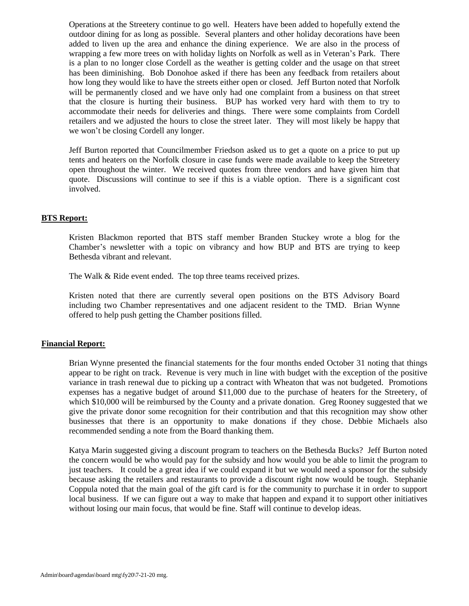Operations at the Streetery continue to go well. Heaters have been added to hopefully extend the outdoor dining for as long as possible. Several planters and other holiday decorations have been added to liven up the area and enhance the dining experience. We are also in the process of wrapping a few more trees on with holiday lights on Norfolk as well as in Veteran's Park. There is a plan to no longer close Cordell as the weather is getting colder and the usage on that street has been diminishing. Bob Donohoe asked if there has been any feedback from retailers about how long they would like to have the streets either open or closed. Jeff Burton noted that Norfolk will be permanently closed and we have only had one complaint from a business on that street that the closure is hurting their business. BUP has worked very hard with them to try to accommodate their needs for deliveries and things. There were some complaints from Cordell retailers and we adjusted the hours to close the street later. They will most likely be happy that we won't be closing Cordell any longer.

Jeff Burton reported that Councilmember Friedson asked us to get a quote on a price to put up tents and heaters on the Norfolk closure in case funds were made available to keep the Streetery open throughout the winter. We received quotes from three vendors and have given him that quote. Discussions will continue to see if this is a viable option. There is a significant cost involved.

#### **BTS Report:**

Kristen Blackmon reported that BTS staff member Branden Stuckey wrote a blog for the Chamber's newsletter with a topic on vibrancy and how BUP and BTS are trying to keep Bethesda vibrant and relevant.

The Walk & Ride event ended. The top three teams received prizes.

Kristen noted that there are currently several open positions on the BTS Advisory Board including two Chamber representatives and one adjacent resident to the TMD. Brian Wynne offered to help push getting the Chamber positions filled.

#### **Financial Report:**

Brian Wynne presented the financial statements for the four months ended October 31 noting that things appear to be right on track. Revenue is very much in line with budget with the exception of the positive variance in trash renewal due to picking up a contract with Wheaton that was not budgeted. Promotions expenses has a negative budget of around \$11,000 due to the purchase of heaters for the Streetery, of which \$10,000 will be reimbursed by the County and a private donation. Greg Rooney suggested that we give the private donor some recognition for their contribution and that this recognition may show other businesses that there is an opportunity to make donations if they chose. Debbie Michaels also recommended sending a note from the Board thanking them.

Katya Marin suggested giving a discount program to teachers on the Bethesda Bucks? Jeff Burton noted the concern would be who would pay for the subsidy and how would you be able to limit the program to just teachers. It could be a great idea if we could expand it but we would need a sponsor for the subsidy because asking the retailers and restaurants to provide a discount right now would be tough. Stephanie Coppula noted that the main goal of the gift card is for the community to purchase it in order to support local business. If we can figure out a way to make that happen and expand it to support other initiatives without losing our main focus, that would be fine. Staff will continue to develop ideas.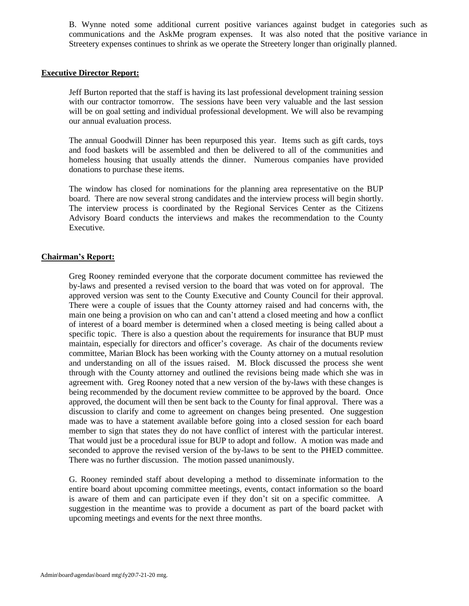B. Wynne noted some additional current positive variances against budget in categories such as communications and the AskMe program expenses. It was also noted that the positive variance in Streetery expenses continues to shrink as we operate the Streetery longer than originally planned.

#### **Executive Director Report:**

Jeff Burton reported that the staff is having its last professional development training session with our contractor tomorrow. The sessions have been very valuable and the last session will be on goal setting and individual professional development. We will also be revamping our annual evaluation process.

The annual Goodwill Dinner has been repurposed this year. Items such as gift cards, toys and food baskets will be assembled and then be delivered to all of the communities and homeless housing that usually attends the dinner. Numerous companies have provided donations to purchase these items.

The window has closed for nominations for the planning area representative on the BUP board. There are now several strong candidates and the interview process will begin shortly. The interview process is coordinated by the Regional Services Center as the Citizens Advisory Board conducts the interviews and makes the recommendation to the County Executive.

#### **Chairman's Report:**

Greg Rooney reminded everyone that the corporate document committee has reviewed the by-laws and presented a revised version to the board that was voted on for approval. The approved version was sent to the County Executive and County Council for their approval. There were a couple of issues that the County attorney raised and had concerns with, the main one being a provision on who can and can't attend a closed meeting and how a conflict of interest of a board member is determined when a closed meeting is being called about a specific topic. There is also a question about the requirements for insurance that BUP must maintain, especially for directors and officer's coverage. As chair of the documents review committee, Marian Block has been working with the County attorney on a mutual resolution and understanding on all of the issues raised. M. Block discussed the process she went through with the County attorney and outlined the revisions being made which she was in agreement with. Greg Rooney noted that a new version of the by-laws with these changes is being recommended by the document review committee to be approved by the board. Once approved, the document will then be sent back to the County for final approval. There was a discussion to clarify and come to agreement on changes being presented. One suggestion made was to have a statement available before going into a closed session for each board member to sign that states they do not have conflict of interest with the particular interest. That would just be a procedural issue for BUP to adopt and follow. A motion was made and seconded to approve the revised version of the by-laws to be sent to the PHED committee. There was no further discussion. The motion passed unanimously.

G. Rooney reminded staff about developing a method to disseminate information to the entire board about upcoming committee meetings, events, contact information so the board is aware of them and can participate even if they don't sit on a specific committee. A suggestion in the meantime was to provide a document as part of the board packet with upcoming meetings and events for the next three months.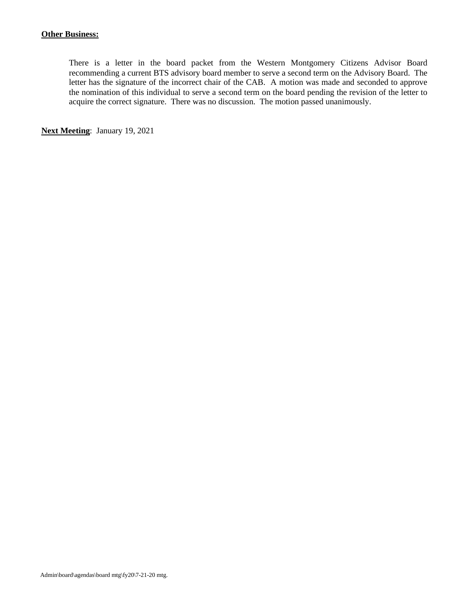There is a letter in the board packet from the Western Montgomery Citizens Advisor Board recommending a current BTS advisory board member to serve a second term on the Advisory Board. The letter has the signature of the incorrect chair of the CAB. A motion was made and seconded to approve the nomination of this individual to serve a second term on the board pending the revision of the letter to acquire the correct signature. There was no discussion. The motion passed unanimously.

**Next Meeting**: January 19, 2021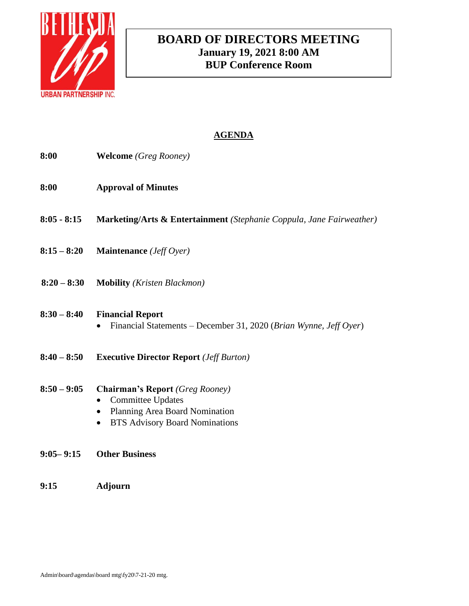

# **BOARD OF DIRECTORS MEETING January 19, 2021 8:00 AM BUP Conference Room**

# **AGENDA**

- **8:00 Welcome** *(Greg Rooney)*
- **8:00 Approval of Minutes**
- **8:05 - 8:15 Marketing/Arts & Entertainment** *(Stephanie Coppula, Jane Fairweather)*
- **8:15 – 8:20 Maintenance** *(Jeff Oyer)*
- **8:20 – 8:30 Mobility** *(Kristen Blackmon)*

### **8:30 – 8:40 Financial Report**

- Financial Statements December 31, 2020 (*Brian Wynne, Jeff Oyer*)
- **8:40 – 8:50 Executive Director Report** *(Jeff Burton)*
- **8:50 – 9:05 Chairman's Report** *(Greg Rooney)*
	- Committee Updates
	- Planning Area Board Nomination
	- BTS Advisory Board Nominations
- **9:05– 9:15 Other Business**
- **9:15 Adjourn**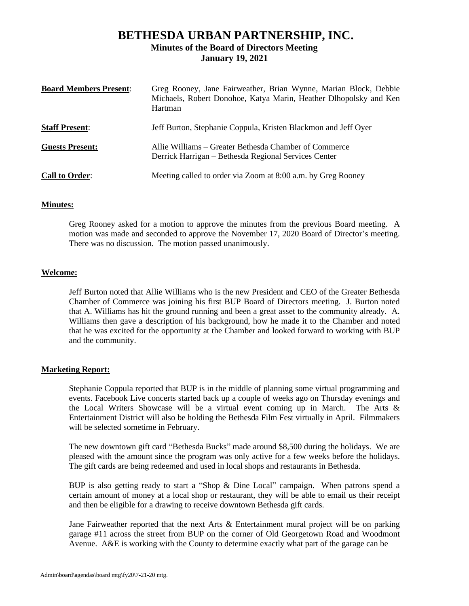## **BETHESDA URBAN PARTNERSHIP, INC. Minutes of the Board of Directors Meeting January 19, 2021**

| <b>Board Members Present:</b> | Greg Rooney, Jane Fairweather, Brian Wynne, Marian Block, Debbie<br>Michaels, Robert Donohoe, Katya Marin, Heather Dlhopolsky and Ken<br>Hartman |
|-------------------------------|--------------------------------------------------------------------------------------------------------------------------------------------------|
| <b>Staff Present:</b>         | Jeff Burton, Stephanie Coppula, Kristen Blackmon and Jeff Oyer                                                                                   |
| <b>Guests Present:</b>        | Allie Williams – Greater Bethesda Chamber of Commerce<br>Derrick Harrigan – Bethesda Regional Services Center                                    |
| <b>Call to Order:</b>         | Meeting called to order via Zoom at 8:00 a.m. by Greg Rooney                                                                                     |

#### **Minutes:**

Greg Rooney asked for a motion to approve the minutes from the previous Board meeting. A motion was made and seconded to approve the November 17, 2020 Board of Director's meeting. There was no discussion. The motion passed unanimously.

#### **Welcome:**

Jeff Burton noted that Allie Williams who is the new President and CEO of the Greater Bethesda Chamber of Commerce was joining his first BUP Board of Directors meeting. J. Burton noted that A. Williams has hit the ground running and been a great asset to the community already. A. Williams then gave a description of his background, how he made it to the Chamber and noted that he was excited for the opportunity at the Chamber and looked forward to working with BUP and the community.

#### **Marketing Report:**

Stephanie Coppula reported that BUP is in the middle of planning some virtual programming and events. Facebook Live concerts started back up a couple of weeks ago on Thursday evenings and the Local Writers Showcase will be a virtual event coming up in March. The Arts & Entertainment District will also be holding the Bethesda Film Fest virtually in April. Filmmakers will be selected sometime in February.

The new downtown gift card "Bethesda Bucks" made around \$8,500 during the holidays. We are pleased with the amount since the program was only active for a few weeks before the holidays. The gift cards are being redeemed and used in local shops and restaurants in Bethesda.

BUP is also getting ready to start a "Shop & Dine Local" campaign. When patrons spend a certain amount of money at a local shop or restaurant, they will be able to email us their receipt and then be eligible for a drawing to receive downtown Bethesda gift cards.

Jane Fairweather reported that the next Arts  $\&$  Entertainment mural project will be on parking garage #11 across the street from BUP on the corner of Old Georgetown Road and Woodmont Avenue. A&E is working with the County to determine exactly what part of the garage can be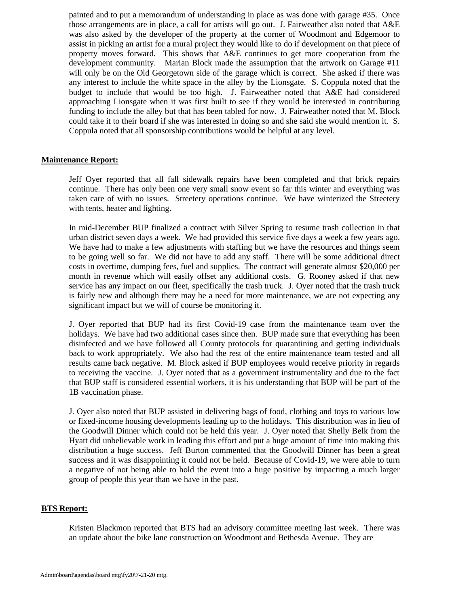painted and to put a memorandum of understanding in place as was done with garage #35. Once those arrangements are in place, a call for artists will go out. J. Fairweather also noted that A&E was also asked by the developer of the property at the corner of Woodmont and Edgemoor to assist in picking an artist for a mural project they would like to do if development on that piece of property moves forward. This shows that A&E continues to get more cooperation from the development community. Marian Block made the assumption that the artwork on Garage #11 will only be on the Old Georgetown side of the garage which is correct. She asked if there was any interest to include the white space in the alley by the Lionsgate. S. Coppula noted that the budget to include that would be too high. J. Fairweather noted that A&E had considered approaching Lionsgate when it was first built to see if they would be interested in contributing funding to include the alley but that has been tabled for now. J. Fairweather noted that M. Block could take it to their board if she was interested in doing so and she said she would mention it. S. Coppula noted that all sponsorship contributions would be helpful at any level.

#### **Maintenance Report:**

Jeff Oyer reported that all fall sidewalk repairs have been completed and that brick repairs continue. There has only been one very small snow event so far this winter and everything was taken care of with no issues. Streetery operations continue. We have winterized the Streetery with tents, heater and lighting.

In mid-December BUP finalized a contract with Silver Spring to resume trash collection in that urban district seven days a week. We had provided this service five days a week a few years ago. We have had to make a few adjustments with staffing but we have the resources and things seem to be going well so far. We did not have to add any staff. There will be some additional direct costs in overtime, dumping fees, fuel and supplies. The contract will generate almost \$20,000 per month in revenue which will easily offset any additional costs. G. Rooney asked if that new service has any impact on our fleet, specifically the trash truck. J. Oyer noted that the trash truck is fairly new and although there may be a need for more maintenance, we are not expecting any significant impact but we will of course be monitoring it.

J. Oyer reported that BUP had its first Covid-19 case from the maintenance team over the holidays. We have had two additional cases since then. BUP made sure that everything has been disinfected and we have followed all County protocols for quarantining and getting individuals back to work appropriately. We also had the rest of the entire maintenance team tested and all results came back negative. M. Block asked if BUP employees would receive priority in regards to receiving the vaccine. J. Oyer noted that as a government instrumentality and due to the fact that BUP staff is considered essential workers, it is his understanding that BUP will be part of the 1B vaccination phase.

J. Oyer also noted that BUP assisted in delivering bags of food, clothing and toys to various low or fixed-income housing developments leading up to the holidays. This distribution was in lieu of the Goodwill Dinner which could not be held this year. J. Oyer noted that Shelly Belk from the Hyatt did unbelievable work in leading this effort and put a huge amount of time into making this distribution a huge success. Jeff Burton commented that the Goodwill Dinner has been a great success and it was disappointing it could not be held. Because of Covid-19, we were able to turn a negative of not being able to hold the event into a huge positive by impacting a much larger group of people this year than we have in the past.

#### **BTS Report:**

Kristen Blackmon reported that BTS had an advisory committee meeting last week. There was an update about the bike lane construction on Woodmont and Bethesda Avenue. They are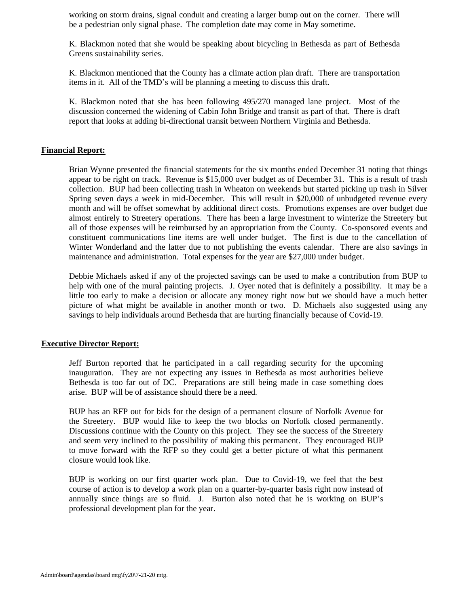working on storm drains, signal conduit and creating a larger bump out on the corner. There will be a pedestrian only signal phase. The completion date may come in May sometime.

K. Blackmon noted that she would be speaking about bicycling in Bethesda as part of Bethesda Greens sustainability series.

K. Blackmon mentioned that the County has a climate action plan draft. There are transportation items in it. All of the TMD's will be planning a meeting to discuss this draft.

K. Blackmon noted that she has been following 495/270 managed lane project. Most of the discussion concerned the widening of Cabin John Bridge and transit as part of that. There is draft report that looks at adding bi-directional transit between Northern Virginia and Bethesda.

#### **Financial Report:**

Brian Wynne presented the financial statements for the six months ended December 31 noting that things appear to be right on track. Revenue is \$15,000 over budget as of December 31. This is a result of trash collection. BUP had been collecting trash in Wheaton on weekends but started picking up trash in Silver Spring seven days a week in mid-December. This will result in \$20,000 of unbudgeted revenue every month and will be offset somewhat by additional direct costs. Promotions expenses are over budget due almost entirely to Streetery operations. There has been a large investment to winterize the Streetery but all of those expenses will be reimbursed by an appropriation from the County. Co-sponsored events and constituent communications line items are well under budget. The first is due to the cancellation of Winter Wonderland and the latter due to not publishing the events calendar. There are also savings in maintenance and administration. Total expenses for the year are \$27,000 under budget.

Debbie Michaels asked if any of the projected savings can be used to make a contribution from BUP to help with one of the mural painting projects. J. Oyer noted that is definitely a possibility. It may be a little too early to make a decision or allocate any money right now but we should have a much better picture of what might be available in another month or two. D. Michaels also suggested using any savings to help individuals around Bethesda that are hurting financially because of Covid-19.

#### **Executive Director Report:**

Jeff Burton reported that he participated in a call regarding security for the upcoming inauguration. They are not expecting any issues in Bethesda as most authorities believe Bethesda is too far out of DC. Preparations are still being made in case something does arise. BUP will be of assistance should there be a need.

BUP has an RFP out for bids for the design of a permanent closure of Norfolk Avenue for the Streetery. BUP would like to keep the two blocks on Norfolk closed permanently. Discussions continue with the County on this project. They see the success of the Streetery and seem very inclined to the possibility of making this permanent. They encouraged BUP to move forward with the RFP so they could get a better picture of what this permanent closure would look like.

BUP is working on our first quarter work plan. Due to Covid-19, we feel that the best course of action is to develop a work plan on a quarter-by-quarter basis right now instead of annually since things are so fluid. J. Burton also noted that he is working on BUP's professional development plan for the year.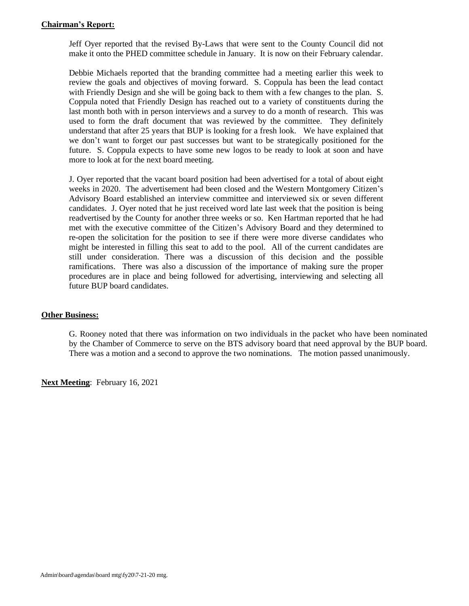#### **Chairman's Report:**

Jeff Oyer reported that the revised By-Laws that were sent to the County Council did not make it onto the PHED committee schedule in January. It is now on their February calendar.

Debbie Michaels reported that the branding committee had a meeting earlier this week to review the goals and objectives of moving forward. S. Coppula has been the lead contact with Friendly Design and she will be going back to them with a few changes to the plan. S. Coppula noted that Friendly Design has reached out to a variety of constituents during the last month both with in person interviews and a survey to do a month of research. This was used to form the draft document that was reviewed by the committee. They definitely understand that after 25 years that BUP is looking for a fresh look. We have explained that we don't want to forget our past successes but want to be strategically positioned for the future. S. Coppula expects to have some new logos to be ready to look at soon and have more to look at for the next board meeting.

J. Oyer reported that the vacant board position had been advertised for a total of about eight weeks in 2020. The advertisement had been closed and the Western Montgomery Citizen's Advisory Board established an interview committee and interviewed six or seven different candidates. J. Oyer noted that he just received word late last week that the position is being readvertised by the County for another three weeks or so. Ken Hartman reported that he had met with the executive committee of the Citizen's Advisory Board and they determined to re-open the solicitation for the position to see if there were more diverse candidates who might be interested in filling this seat to add to the pool. All of the current candidates are still under consideration. There was a discussion of this decision and the possible ramifications. There was also a discussion of the importance of making sure the proper procedures are in place and being followed for advertising, interviewing and selecting all future BUP board candidates.

#### **Other Business:**

G. Rooney noted that there was information on two individuals in the packet who have been nominated by the Chamber of Commerce to serve on the BTS advisory board that need approval by the BUP board. There was a motion and a second to approve the two nominations. The motion passed unanimously.

**Next Meeting**: February 16, 2021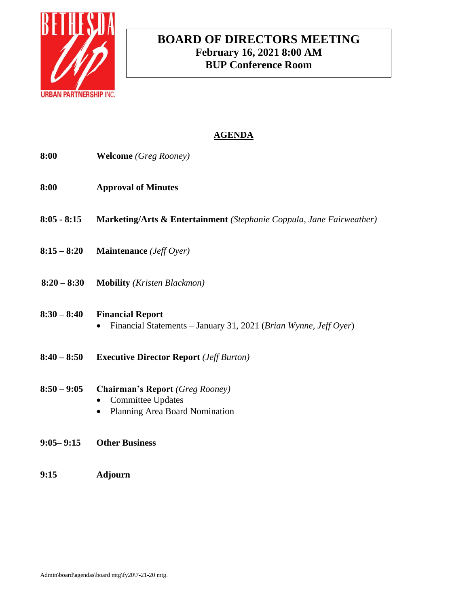

# **BOARD OF DIRECTORS MEETING February 16, 2021 8:00 AM BUP Conference Room**

# **AGENDA**

- **8:00 Welcome** *(Greg Rooney)*
- **8:00 Approval of Minutes**
- **8:05 - 8:15 Marketing/Arts & Entertainment** *(Stephanie Coppula, Jane Fairweather)*
- **8:15 – 8:20 Maintenance** *(Jeff Oyer)*
- **8:20 – 8:30 Mobility** *(Kristen Blackmon)*

### **8:30 – 8:40 Financial Report**

- Financial Statements January 31, 2021 (*Brian Wynne, Jeff Oyer*)
- **8:40 – 8:50 Executive Director Report** *(Jeff Burton)*
- **8:50 – 9:05 Chairman's Report** *(Greg Rooney)*
	- Committee Updates
	- Planning Area Board Nomination
- **9:05– 9:15 Other Business**
- **9:15 Adjourn**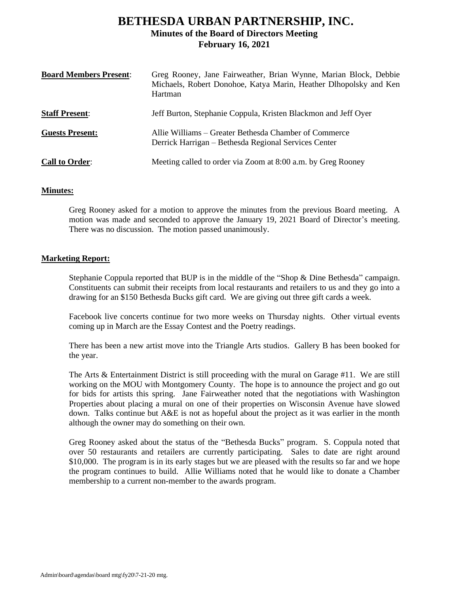# **BETHESDA URBAN PARTNERSHIP, INC. Minutes of the Board of Directors Meeting February 16, 2021**

| <b>Board Members Present:</b> | Greg Rooney, Jane Fairweather, Brian Wynne, Marian Block, Debbie<br>Michaels, Robert Donohoe, Katya Marin, Heather Dlhopolsky and Ken<br>Hartman |
|-------------------------------|--------------------------------------------------------------------------------------------------------------------------------------------------|
| <b>Staff Present:</b>         | Jeff Burton, Stephanie Coppula, Kristen Blackmon and Jeff Oyer                                                                                   |
| <b>Guests Present:</b>        | Allie Williams – Greater Bethesda Chamber of Commerce<br>Derrick Harrigan – Bethesda Regional Services Center                                    |
| <b>Call to Order:</b>         | Meeting called to order via Zoom at 8:00 a.m. by Greg Rooney                                                                                     |

#### **Minutes:**

Greg Rooney asked for a motion to approve the minutes from the previous Board meeting. A motion was made and seconded to approve the January 19, 2021 Board of Director's meeting. There was no discussion. The motion passed unanimously.

#### **Marketing Report:**

Stephanie Coppula reported that BUP is in the middle of the "Shop & Dine Bethesda" campaign. Constituents can submit their receipts from local restaurants and retailers to us and they go into a drawing for an \$150 Bethesda Bucks gift card. We are giving out three gift cards a week.

Facebook live concerts continue for two more weeks on Thursday nights. Other virtual events coming up in March are the Essay Contest and the Poetry readings.

There has been a new artist move into the Triangle Arts studios. Gallery B has been booked for the year.

The Arts & Entertainment District is still proceeding with the mural on Garage #11. We are still working on the MOU with Montgomery County. The hope is to announce the project and go out for bids for artists this spring. Jane Fairweather noted that the negotiations with Washington Properties about placing a mural on one of their properties on Wisconsin Avenue have slowed down. Talks continue but A&E is not as hopeful about the project as it was earlier in the month although the owner may do something on their own.

Greg Rooney asked about the status of the "Bethesda Bucks" program. S. Coppula noted that over 50 restaurants and retailers are currently participating. Sales to date are right around \$10,000. The program is in its early stages but we are pleased with the results so far and we hope the program continues to build. Allie Williams noted that he would like to donate a Chamber membership to a current non-member to the awards program.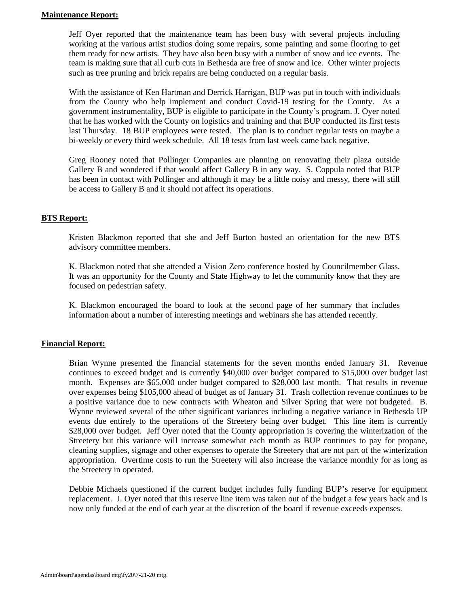#### **Maintenance Report:**

Jeff Oyer reported that the maintenance team has been busy with several projects including working at the various artist studios doing some repairs, some painting and some flooring to get them ready for new artists. They have also been busy with a number of snow and ice events. The team is making sure that all curb cuts in Bethesda are free of snow and ice. Other winter projects such as tree pruning and brick repairs are being conducted on a regular basis.

With the assistance of Ken Hartman and Derrick Harrigan, BUP was put in touch with individuals from the County who help implement and conduct Covid-19 testing for the County. As a government instrumentality, BUP is eligible to participate in the County's program. J. Oyer noted that he has worked with the County on logistics and training and that BUP conducted its first tests last Thursday. 18 BUP employees were tested. The plan is to conduct regular tests on maybe a bi-weekly or every third week schedule. All 18 tests from last week came back negative.

Greg Rooney noted that Pollinger Companies are planning on renovating their plaza outside Gallery B and wondered if that would affect Gallery B in any way. S. Coppula noted that BUP has been in contact with Pollinger and although it may be a little noisy and messy, there will still be access to Gallery B and it should not affect its operations.

#### **BTS Report:**

Kristen Blackmon reported that she and Jeff Burton hosted an orientation for the new BTS advisory committee members.

K. Blackmon noted that she attended a Vision Zero conference hosted by Councilmember Glass. It was an opportunity for the County and State Highway to let the community know that they are focused on pedestrian safety.

K. Blackmon encouraged the board to look at the second page of her summary that includes information about a number of interesting meetings and webinars she has attended recently.

#### **Financial Report:**

Brian Wynne presented the financial statements for the seven months ended January 31. Revenue continues to exceed budget and is currently \$40,000 over budget compared to \$15,000 over budget last month. Expenses are \$65,000 under budget compared to \$28,000 last month. That results in revenue over expenses being \$105,000 ahead of budget as of January 31. Trash collection revenue continues to be a positive variance due to new contracts with Wheaton and Silver Spring that were not budgeted. B. Wynne reviewed several of the other significant variances including a negative variance in Bethesda UP events due entirely to the operations of the Streetery being over budget. This line item is currently \$28,000 over budget. Jeff Oyer noted that the County appropriation is covering the winterization of the Streetery but this variance will increase somewhat each month as BUP continues to pay for propane, cleaning supplies, signage and other expenses to operate the Streetery that are not part of the winterization appropriation. Overtime costs to run the Streetery will also increase the variance monthly for as long as the Streetery in operated.

Debbie Michaels questioned if the current budget includes fully funding BUP's reserve for equipment replacement. J. Oyer noted that this reserve line item was taken out of the budget a few years back and is now only funded at the end of each year at the discretion of the board if revenue exceeds expenses.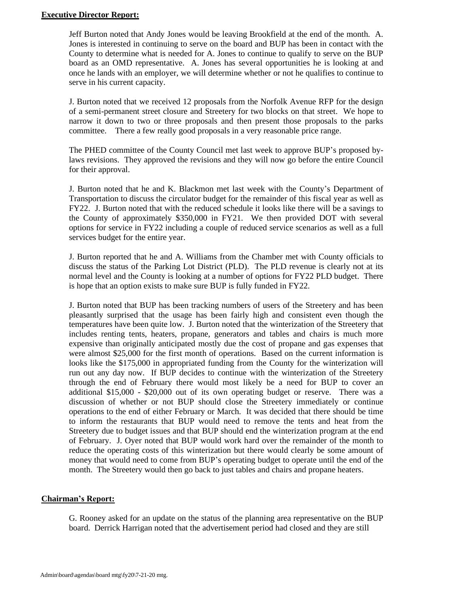#### **Executive Director Report:**

Jeff Burton noted that Andy Jones would be leaving Brookfield at the end of the month. A. Jones is interested in continuing to serve on the board and BUP has been in contact with the County to determine what is needed for A. Jones to continue to qualify to serve on the BUP board as an OMD representative. A. Jones has several opportunities he is looking at and once he lands with an employer, we will determine whether or not he qualifies to continue to serve in his current capacity.

J. Burton noted that we received 12 proposals from the Norfolk Avenue RFP for the design of a semi-permanent street closure and Streetery for two blocks on that street. We hope to narrow it down to two or three proposals and then present those proposals to the parks committee. There a few really good proposals in a very reasonable price range.

The PHED committee of the County Council met last week to approve BUP's proposed bylaws revisions. They approved the revisions and they will now go before the entire Council for their approval.

J. Burton noted that he and K. Blackmon met last week with the County's Department of Transportation to discuss the circulator budget for the remainder of this fiscal year as well as FY22. J. Burton noted that with the reduced schedule it looks like there will be a savings to the County of approximately \$350,000 in FY21. We then provided DOT with several options for service in FY22 including a couple of reduced service scenarios as well as a full services budget for the entire year.

J. Burton reported that he and A. Williams from the Chamber met with County officials to discuss the status of the Parking Lot District (PLD). The PLD revenue is clearly not at its normal level and the County is looking at a number of options for FY22 PLD budget. There is hope that an option exists to make sure BUP is fully funded in FY22.

J. Burton noted that BUP has been tracking numbers of users of the Streetery and has been pleasantly surprised that the usage has been fairly high and consistent even though the temperatures have been quite low. J. Burton noted that the winterization of the Streetery that includes renting tents, heaters, propane, generators and tables and chairs is much more expensive than originally anticipated mostly due the cost of propane and gas expenses that were almost \$25,000 for the first month of operations. Based on the current information is looks like the \$175,000 in appropriated funding from the County for the winterization will run out any day now. If BUP decides to continue with the winterization of the Streetery through the end of February there would most likely be a need for BUP to cover an additional \$15,000 - \$20,000 out of its own operating budget or reserve. There was a discussion of whether or not BUP should close the Streetery immediately or continue operations to the end of either February or March. It was decided that there should be time to inform the restaurants that BUP would need to remove the tents and heat from the Streetery due to budget issues and that BUP should end the winterization program at the end of February. J. Oyer noted that BUP would work hard over the remainder of the month to reduce the operating costs of this winterization but there would clearly be some amount of money that would need to come from BUP's operating budget to operate until the end of the month. The Streetery would then go back to just tables and chairs and propane heaters.

#### **Chairman's Report:**

G. Rooney asked for an update on the status of the planning area representative on the BUP board. Derrick Harrigan noted that the advertisement period had closed and they are still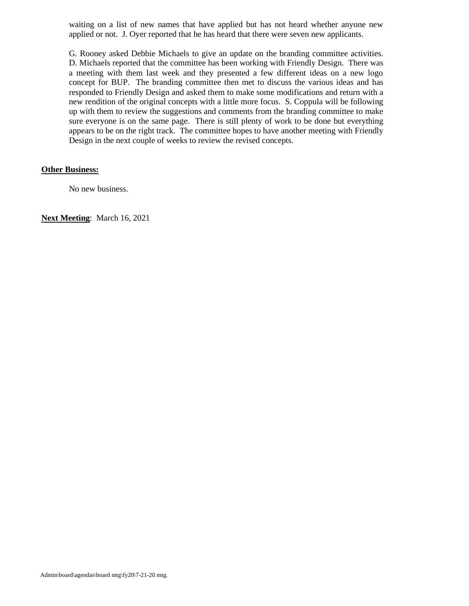waiting on a list of new names that have applied but has not heard whether anyone new applied or not. J. Oyer reported that he has heard that there were seven new applicants.

G. Rooney asked Debbie Michaels to give an update on the branding committee activities. D. Michaels reported that the committee has been working with Friendly Design. There was a meeting with them last week and they presented a few different ideas on a new logo concept for BUP. The branding committee then met to discuss the various ideas and has responded to Friendly Design and asked them to make some modifications and return with a new rendition of the original concepts with a little more focus. S. Coppula will be following up with them to review the suggestions and comments from the branding committee to make sure everyone is on the same page. There is still plenty of work to be done but everything appears to be on the right track. The committee hopes to have another meeting with Friendly Design in the next couple of weeks to review the revised concepts.

#### **Other Business:**

No new business.

**Next Meeting**: March 16, 2021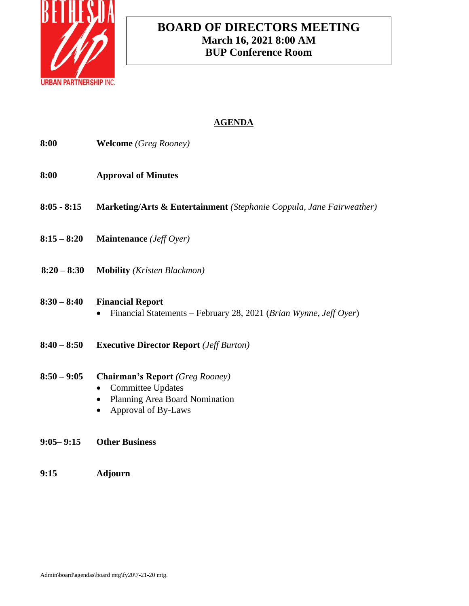

# **BOARD OF DIRECTORS MEETING March 16, 2021 8:00 AM BUP Conference Room**

# **AGENDA**

| 8:00          | <b>Welcome</b> (Greg Rooney)                                                                                                |
|---------------|-----------------------------------------------------------------------------------------------------------------------------|
| 8:00          | <b>Approval of Minutes</b>                                                                                                  |
| $8:05 - 8:15$ | Marketing/Arts & Entertainment (Stephanie Coppula, Jane Fairweather)                                                        |
| $8:15 - 8:20$ | <b>Maintenance</b> ( <i>Jeff Oyer</i> )                                                                                     |
| $8:20 - 8:30$ | <b>Mobility</b> (Kristen Blackmon)                                                                                          |
| $8:30 - 8:40$ | <b>Financial Report</b><br>Financial Statements - February 28, 2021 (Brian Wynne, Jeff Oyer)                                |
| $8:40 - 8:50$ | <b>Executive Director Report</b> ( <i>Jeff Burton</i> )                                                                     |
| $8:50 - 9:05$ | <b>Chairman's Report</b> (Greg Rooney)<br><b>Committee Updates</b><br>Planning Area Board Nomination<br>Approval of By-Laws |
| $9:05 - 9:15$ | <b>Other Business</b>                                                                                                       |

**9:15 Adjourn**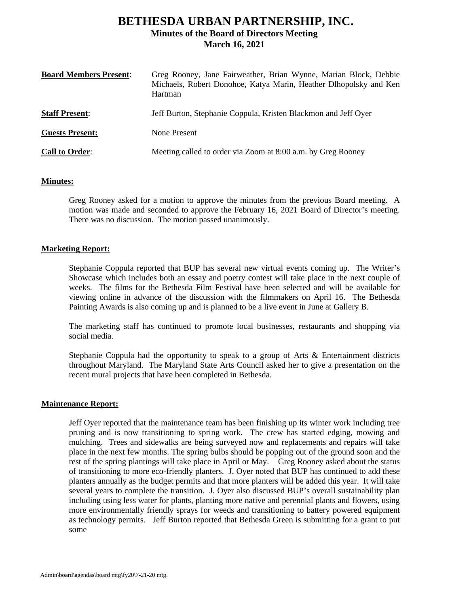# **BETHESDA URBAN PARTNERSHIP, INC. Minutes of the Board of Directors Meeting March 16, 2021**

| <b>Board Members Present:</b> | Greg Rooney, Jane Fairweather, Brian Wynne, Marian Block, Debbie<br>Michaels, Robert Donohoe, Katya Marin, Heather Dlhopolsky and Ken<br>Hartman |
|-------------------------------|--------------------------------------------------------------------------------------------------------------------------------------------------|
| <b>Staff Present:</b>         | Jeff Burton, Stephanie Coppula, Kristen Blackmon and Jeff Oyer                                                                                   |
| <b>Guests Present:</b>        | None Present                                                                                                                                     |
| <b>Call to Order:</b>         | Meeting called to order via Zoom at 8:00 a.m. by Greg Rooney                                                                                     |

#### **Minutes:**

Greg Rooney asked for a motion to approve the minutes from the previous Board meeting. A motion was made and seconded to approve the February 16, 2021 Board of Director's meeting. There was no discussion. The motion passed unanimously.

#### **Marketing Report:**

Stephanie Coppula reported that BUP has several new virtual events coming up. The Writer's Showcase which includes both an essay and poetry contest will take place in the next couple of weeks. The films for the Bethesda Film Festival have been selected and will be available for viewing online in advance of the discussion with the filmmakers on April 16. The Bethesda Painting Awards is also coming up and is planned to be a live event in June at Gallery B.

The marketing staff has continued to promote local businesses, restaurants and shopping via social media.

Stephanie Coppula had the opportunity to speak to a group of Arts & Entertainment districts throughout Maryland. The Maryland State Arts Council asked her to give a presentation on the recent mural projects that have been completed in Bethesda.

#### **Maintenance Report:**

Jeff Oyer reported that the maintenance team has been finishing up its winter work including tree pruning and is now transitioning to spring work. The crew has started edging, mowing and mulching. Trees and sidewalks are being surveyed now and replacements and repairs will take place in the next few months. The spring bulbs should be popping out of the ground soon and the rest of the spring plantings will take place in April or May. Greg Rooney asked about the status of transitioning to more eco-friendly planters. J. Oyer noted that BUP has continued to add these planters annually as the budget permits and that more planters will be added this year. It will take several years to complete the transition. J. Oyer also discussed BUP's overall sustainability plan including using less water for plants, planting more native and perennial plants and flowers, using more environmentally friendly sprays for weeds and transitioning to battery powered equipment as technology permits. Jeff Burton reported that Bethesda Green is submitting for a grant to put some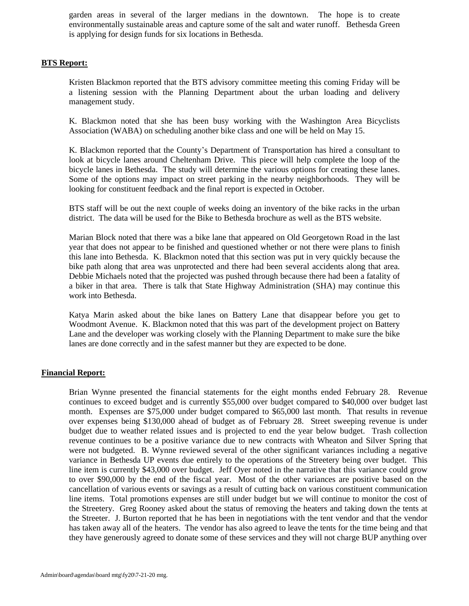garden areas in several of the larger medians in the downtown. The hope is to create environmentally sustainable areas and capture some of the salt and water runoff. Bethesda Green is applying for design funds for six locations in Bethesda.

#### **BTS Report:**

Kristen Blackmon reported that the BTS advisory committee meeting this coming Friday will be a listening session with the Planning Department about the urban loading and delivery management study.

K. Blackmon noted that she has been busy working with the Washington Area Bicyclists Association (WABA) on scheduling another bike class and one will be held on May 15.

K. Blackmon reported that the County's Department of Transportation has hired a consultant to look at bicycle lanes around Cheltenham Drive. This piece will help complete the loop of the bicycle lanes in Bethesda. The study will determine the various options for creating these lanes. Some of the options may impact on street parking in the nearby neighborhoods. They will be looking for constituent feedback and the final report is expected in October.

BTS staff will be out the next couple of weeks doing an inventory of the bike racks in the urban district. The data will be used for the Bike to Bethesda brochure as well as the BTS website.

Marian Block noted that there was a bike lane that appeared on Old Georgetown Road in the last year that does not appear to be finished and questioned whether or not there were plans to finish this lane into Bethesda. K. Blackmon noted that this section was put in very quickly because the bike path along that area was unprotected and there had been several accidents along that area. Debbie Michaels noted that the projected was pushed through because there had been a fatality of a biker in that area. There is talk that State Highway Administration (SHA) may continue this work into Bethesda.

Katya Marin asked about the bike lanes on Battery Lane that disappear before you get to Woodmont Avenue. K. Blackmon noted that this was part of the development project on Battery Lane and the developer was working closely with the Planning Department to make sure the bike lanes are done correctly and in the safest manner but they are expected to be done.

#### **Financial Report:**

Brian Wynne presented the financial statements for the eight months ended February 28. Revenue continues to exceed budget and is currently \$55,000 over budget compared to \$40,000 over budget last month. Expenses are \$75,000 under budget compared to \$65,000 last month. That results in revenue over expenses being \$130,000 ahead of budget as of February 28. Street sweeping revenue is under budget due to weather related issues and is projected to end the year below budget. Trash collection revenue continues to be a positive variance due to new contracts with Wheaton and Silver Spring that were not budgeted. B. Wynne reviewed several of the other significant variances including a negative variance in Bethesda UP events due entirely to the operations of the Streetery being over budget. This line item is currently \$43,000 over budget. Jeff Oyer noted in the narrative that this variance could grow to over \$90,000 by the end of the fiscal year. Most of the other variances are positive based on the cancellation of various events or savings as a result of cutting back on various constituent communication line items. Total promotions expenses are still under budget but we will continue to monitor the cost of the Streetery. Greg Rooney asked about the status of removing the heaters and taking down the tents at the Streeter. J. Burton reported that he has been in negotiations with the tent vendor and that the vendor has taken away all of the heaters. The vendor has also agreed to leave the tents for the time being and that they have generously agreed to donate some of these services and they will not charge BUP anything over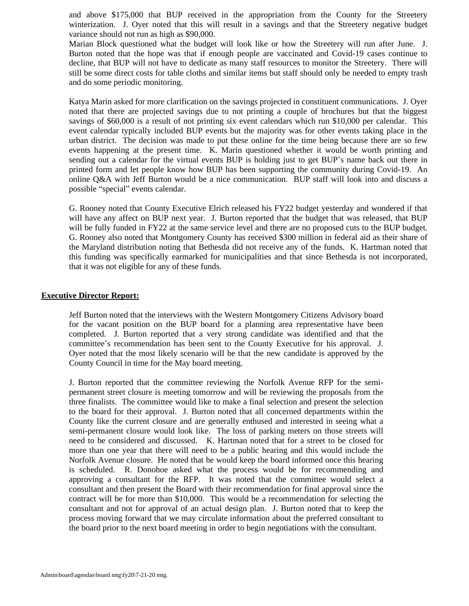and above \$175,000 that BUP received in the appropriation from the County for the Streetery winterization. J. Oyer noted that this will result in a savings and that the Streetery negative budget variance should not run as high as \$90,000.

Marian Block questioned what the budget will look like or how the Streetery will run after June. J. Burton noted that the hope was that if enough people are vaccinated and Covid-19 cases continue to decline, that BUP will not have to dedicate as many staff resources to monitor the Streetery. There will still be some direct costs for table cloths and similar items but staff should only be needed to empty trash and do some periodic monitoring.

Katya Marin asked for more clarification on the savings projected in constituent communications. J. Oyer noted that there are projected savings due to not printing a couple of brochures but that the biggest savings of \$60,000 is a result of not printing six event calendars which run \$10,000 per calendar. This event calendar typically included BUP events but the majority was for other events taking place in the urban district. The decision was made to put these online for the time being because there are so few events happening at the present time. K. Marin questioned whether it would be worth printing and sending out a calendar for the virtual events BUP is holding just to get BUP's name back out there in printed form and let people know how BUP has been supporting the community during Covid-19. An online Q&A with Jeff Burton would be a nice communication. BUP staff will look into and discuss a possible "special" events calendar.

G. Rooney noted that County Executive Elrich released his FY22 budget yesterday and wondered if that will have any affect on BUP next year. J. Burton reported that the budget that was released, that BUP will be fully funded in FY22 at the same service level and there are no proposed cuts to the BUP budget. G. Rooney also noted that Montgomery County has received \$300 million in federal aid as their share of the Maryland distribution noting that Bethesda did not receive any of the funds. K. Hartman noted that this funding was specifically earmarked for municipalities and that since Bethesda is not incorporated, that it was not eligible for any of these funds.

#### **Executive Director Report:**

Jeff Burton noted that the interviews with the Western Montgomery Citizens Advisory board for the vacant position on the BUP board for a planning area representative have been completed. J. Burton reported that a very strong candidate was identified and that the committee's recommendation has been sent to the County Executive for his approval. J. Oyer noted that the most likely scenario will be that the new candidate is approved by the County Council in time for the May board meeting.

J. Burton reported that the committee reviewing the Norfolk Avenue RFP for the semipermanent street closure is meeting tomorrow and will be reviewing the proposals from the three finalists. The committee would like to make a final selection and present the selection to the board for their approval. J. Burton noted that all concerned departments within the County like the current closure and are generally enthused and interested in seeing what a semi-permanent closure would look like. The loss of parking meters on those streets will need to be considered and discussed. K. Hartman noted that for a street to be closed for more than one year that there will need to be a public hearing and this would include the Norfolk Avenue closure. He noted that he would keep the board informed once this hearing is scheduled. R. Donohoe asked what the process would be for recommending and approving a consultant for the RFP. It was noted that the committee would select a consultant and then present the Board with their recommendation for final approval since the contract will be for more than \$10,000. This would be a recommendation for selecting the consultant and not for approval of an actual design plan. J. Burton noted that to keep the process moving forward that we may circulate information about the preferred consultant to the board prior to the next board meeting in order to begin negotiations with the consultant.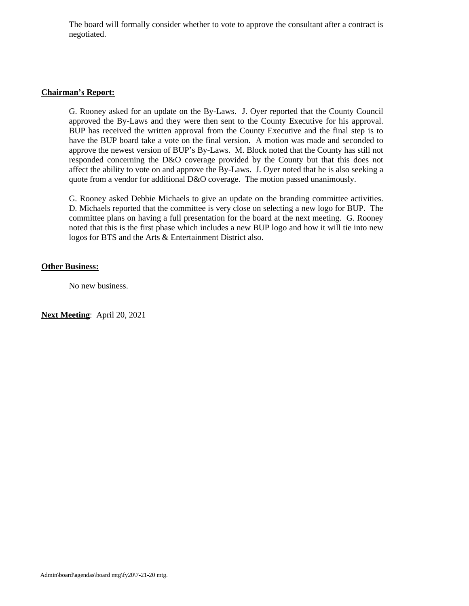The board will formally consider whether to vote to approve the consultant after a contract is negotiated.

#### **Chairman's Report:**

G. Rooney asked for an update on the By-Laws. J. Oyer reported that the County Council approved the By-Laws and they were then sent to the County Executive for his approval. BUP has received the written approval from the County Executive and the final step is to have the BUP board take a vote on the final version. A motion was made and seconded to approve the newest version of BUP's By-Laws. M. Block noted that the County has still not responded concerning the D&O coverage provided by the County but that this does not affect the ability to vote on and approve the By-Laws. J. Oyer noted that he is also seeking a quote from a vendor for additional D&O coverage. The motion passed unanimously.

G. Rooney asked Debbie Michaels to give an update on the branding committee activities. D. Michaels reported that the committee is very close on selecting a new logo for BUP. The committee plans on having a full presentation for the board at the next meeting. G. Rooney noted that this is the first phase which includes a new BUP logo and how it will tie into new logos for BTS and the Arts & Entertainment District also.

#### **Other Business:**

No new business.

**Next Meeting**: April 20, 2021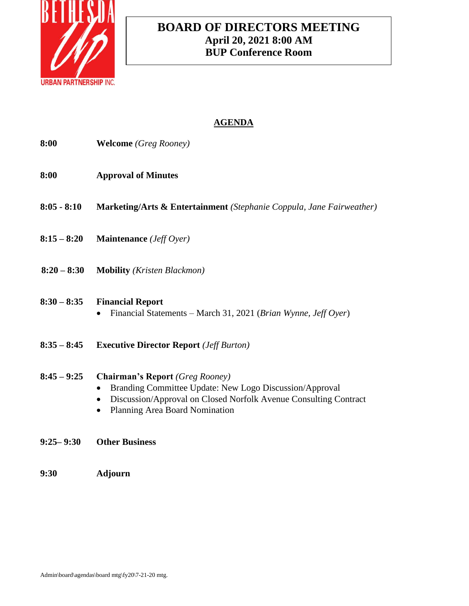

# **BOARD OF DIRECTORS MEETING April 20, 2021 8:00 AM BUP Conference Room**

# **AGENDA**

| 8:00          | <b>Welcome</b> (Greg Rooney)                                                                                                                                                                                                      |
|---------------|-----------------------------------------------------------------------------------------------------------------------------------------------------------------------------------------------------------------------------------|
| 8:00          | <b>Approval of Minutes</b>                                                                                                                                                                                                        |
| 8:05 - 8:10   | Marketing/Arts & Entertainment (Stephanie Coppula, Jane Fairweather)                                                                                                                                                              |
|               | $8:15-8:20$ Maintenance ( <i>Jeff Oyer</i> )                                                                                                                                                                                      |
|               | 8:20 - 8:30 Mobility (Kristen Blackmon)                                                                                                                                                                                           |
| $8:30 - 8:35$ | <b>Financial Report</b><br>Financial Statements - March 31, 2021 (Brian Wynne, Jeff Oyer)                                                                                                                                         |
| $8:35 - 8:45$ | <b>Executive Director Report</b> ( <i>Jeff Burton</i> )                                                                                                                                                                           |
| $8:45 - 9:25$ | <b>Chairman's Report</b> (Greg Rooney)<br>Branding Committee Update: New Logo Discussion/Approval<br>Discussion/Approval on Closed Norfolk Avenue Consulting Contract<br>$\bullet$<br>Planning Area Board Nomination<br>$\bullet$ |

**9:30 Adjourn**

**9:25– 9:30 Other Business**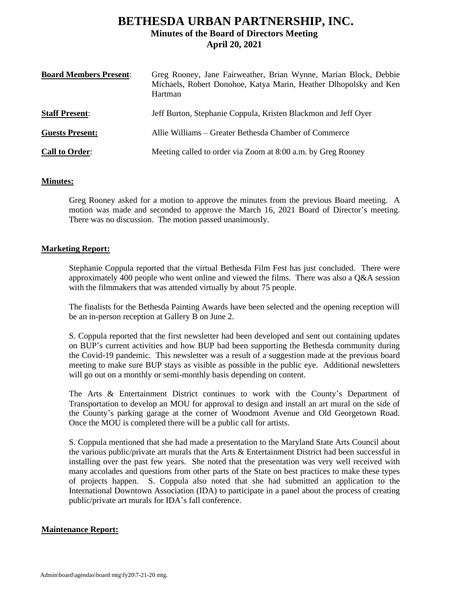## **BETHESDA URBAN PARTNERSHIP, INC. Minutes of the Board of Directors Meeting April 20, 2021**

| <b>Board Members Present:</b> | Greg Rooney, Jane Fairweather, Brian Wynne, Marian Block, Debbie<br>Michaels, Robert Donohoe, Katya Marin, Heather Dlhopolsky and Ken<br>Hartman |
|-------------------------------|--------------------------------------------------------------------------------------------------------------------------------------------------|
| <b>Staff Present:</b>         | Jeff Burton, Stephanie Coppula, Kristen Blackmon and Jeff Oyer                                                                                   |
| <b>Guests Present:</b>        | Allie Williams – Greater Bethesda Chamber of Commerce                                                                                            |
| <b>Call to Order:</b>         | Meeting called to order via Zoom at 8:00 a.m. by Greg Rooney                                                                                     |

#### **Minutes:**

Greg Rooney asked for a motion to approve the minutes from the previous Board meeting. A motion was made and seconded to approve the March 16, 2021 Board of Director's meeting. There was no discussion. The motion passed unanimously.

#### **Marketing Report:**

Stephanie Coppula reported that the virtual Bethesda Film Fest has just concluded. There were approximately 400 people who went online and viewed the films. There was also a Q&A session with the filmmakers that was attended virtually by about 75 people.

The finalists for the Bethesda Painting Awards have been selected and the opening reception will be an in-person reception at Gallery B on June 2.

S. Coppula reported that the first newsletter had been developed and sent out containing updates on BUP's current activities and how BUP had been supporting the Bethesda community during the Covid-19 pandemic. This newsletter was a result of a suggestion made at the previous board meeting to make sure BUP stays as visible as possible in the public eye. Additional newsletters will go out on a monthly or semi-monthly basis depending on content.

The Arts & Entertainment District continues to work with the County's Department of Transportation to develop an MOU for approval to design and install an art mural on the side of the County's parking garage at the corner of Woodmont Avenue and Old Georgetown Road. Once the MOU is completed there will be a public call for artists.

S. Coppula mentioned that she had made a presentation to the Maryland State Arts Council about the various public/private art murals that the Arts & Entertainment District had been successful in installing over the past few years. She noted that the presentation was very well received with many accolades and questions from other parts of the State on best practices to make these types of projects happen. S. Coppula also noted that she had submitted an application to the International Downtown Association (IDA) to participate in a panel about the process of creating public/private art murals for IDA's fall conference.

#### **Maintenance Report:**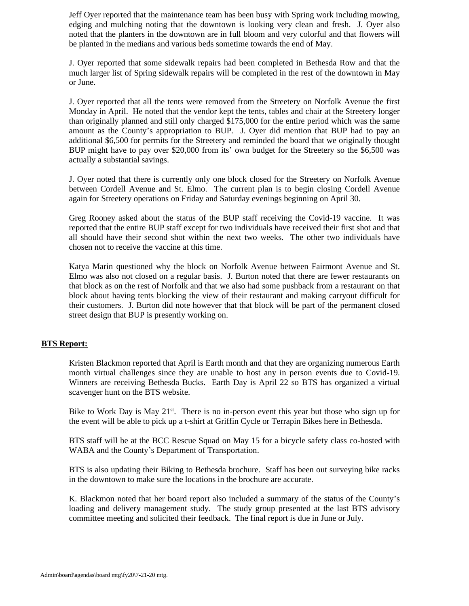Jeff Oyer reported that the maintenance team has been busy with Spring work including mowing, edging and mulching noting that the downtown is looking very clean and fresh. J. Oyer also noted that the planters in the downtown are in full bloom and very colorful and that flowers will be planted in the medians and various beds sometime towards the end of May.

J. Oyer reported that some sidewalk repairs had been completed in Bethesda Row and that the much larger list of Spring sidewalk repairs will be completed in the rest of the downtown in May or June.

J. Oyer reported that all the tents were removed from the Streetery on Norfolk Avenue the first Monday in April. He noted that the vendor kept the tents, tables and chair at the Streetery longer than originally planned and still only charged \$175,000 for the entire period which was the same amount as the County's appropriation to BUP. J. Oyer did mention that BUP had to pay an additional \$6,500 for permits for the Streetery and reminded the board that we originally thought BUP might have to pay over \$20,000 from its' own budget for the Streetery so the \$6,500 was actually a substantial savings.

J. Oyer noted that there is currently only one block closed for the Streetery on Norfolk Avenue between Cordell Avenue and St. Elmo. The current plan is to begin closing Cordell Avenue again for Streetery operations on Friday and Saturday evenings beginning on April 30.

Greg Rooney asked about the status of the BUP staff receiving the Covid-19 vaccine. It was reported that the entire BUP staff except for two individuals have received their first shot and that all should have their second shot within the next two weeks. The other two individuals have chosen not to receive the vaccine at this time.

Katya Marin questioned why the block on Norfolk Avenue between Fairmont Avenue and St. Elmo was also not closed on a regular basis. J. Burton noted that there are fewer restaurants on that block as on the rest of Norfolk and that we also had some pushback from a restaurant on that block about having tents blocking the view of their restaurant and making carryout difficult for their customers. J. Burton did note however that that block will be part of the permanent closed street design that BUP is presently working on.

#### **BTS Report:**

Kristen Blackmon reported that April is Earth month and that they are organizing numerous Earth month virtual challenges since they are unable to host any in person events due to Covid-19. Winners are receiving Bethesda Bucks. Earth Day is April 22 so BTS has organized a virtual scavenger hunt on the BTS website.

Bike to Work Day is May  $21^{st}$ . There is no in-person event this year but those who sign up for the event will be able to pick up a t-shirt at Griffin Cycle or Terrapin Bikes here in Bethesda.

BTS staff will be at the BCC Rescue Squad on May 15 for a bicycle safety class co-hosted with WABA and the County's Department of Transportation.

BTS is also updating their Biking to Bethesda brochure. Staff has been out surveying bike racks in the downtown to make sure the locations in the brochure are accurate.

K. Blackmon noted that her board report also included a summary of the status of the County's loading and delivery management study. The study group presented at the last BTS advisory committee meeting and solicited their feedback. The final report is due in June or July.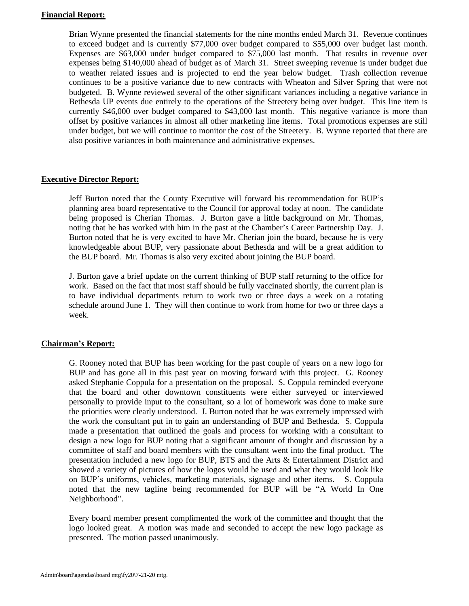#### **Financial Report:**

Brian Wynne presented the financial statements for the nine months ended March 31. Revenue continues to exceed budget and is currently \$77,000 over budget compared to \$55,000 over budget last month. Expenses are \$63,000 under budget compared to \$75,000 last month. That results in revenue over expenses being \$140,000 ahead of budget as of March 31. Street sweeping revenue is under budget due to weather related issues and is projected to end the year below budget. Trash collection revenue continues to be a positive variance due to new contracts with Wheaton and Silver Spring that were not budgeted. B. Wynne reviewed several of the other significant variances including a negative variance in Bethesda UP events due entirely to the operations of the Streetery being over budget. This line item is currently \$46,000 over budget compared to \$43,000 last month. This negative variance is more than offset by positive variances in almost all other marketing line items. Total promotions expenses are still under budget, but we will continue to monitor the cost of the Streetery. B. Wynne reported that there are also positive variances in both maintenance and administrative expenses.

#### **Executive Director Report:**

Jeff Burton noted that the County Executive will forward his recommendation for BUP's planning area board representative to the Council for approval today at noon. The candidate being proposed is Cherian Thomas. J. Burton gave a little background on Mr. Thomas, noting that he has worked with him in the past at the Chamber's Career Partnership Day. J. Burton noted that he is very excited to have Mr. Cherian join the board, because he is very knowledgeable about BUP, very passionate about Bethesda and will be a great addition to the BUP board. Mr. Thomas is also very excited about joining the BUP board.

J. Burton gave a brief update on the current thinking of BUP staff returning to the office for work. Based on the fact that most staff should be fully vaccinated shortly, the current plan is to have individual departments return to work two or three days a week on a rotating schedule around June 1. They will then continue to work from home for two or three days a week.

#### **Chairman's Report:**

G. Rooney noted that BUP has been working for the past couple of years on a new logo for BUP and has gone all in this past year on moving forward with this project. G. Rooney asked Stephanie Coppula for a presentation on the proposal. S. Coppula reminded everyone that the board and other downtown constituents were either surveyed or interviewed personally to provide input to the consultant, so a lot of homework was done to make sure the priorities were clearly understood. J. Burton noted that he was extremely impressed with the work the consultant put in to gain an understanding of BUP and Bethesda. S. Coppula made a presentation that outlined the goals and process for working with a consultant to design a new logo for BUP noting that a significant amount of thought and discussion by a committee of staff and board members with the consultant went into the final product. The presentation included a new logo for BUP, BTS and the Arts & Entertainment District and showed a variety of pictures of how the logos would be used and what they would look like on BUP's uniforms, vehicles, marketing materials, signage and other items. S. Coppula noted that the new tagline being recommended for BUP will be "A World In One Neighborhood".

Every board member present complimented the work of the committee and thought that the logo looked great. A motion was made and seconded to accept the new logo package as presented. The motion passed unanimously.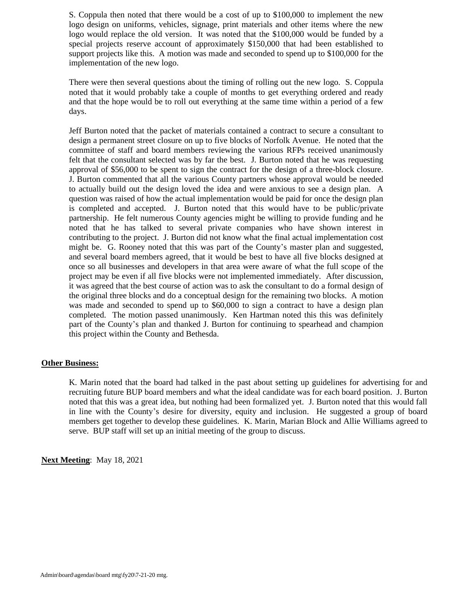S. Coppula then noted that there would be a cost of up to \$100,000 to implement the new logo design on uniforms, vehicles, signage, print materials and other items where the new logo would replace the old version. It was noted that the \$100,000 would be funded by a special projects reserve account of approximately \$150,000 that had been established to support projects like this. A motion was made and seconded to spend up to \$100,000 for the implementation of the new logo.

There were then several questions about the timing of rolling out the new logo. S. Coppula noted that it would probably take a couple of months to get everything ordered and ready and that the hope would be to roll out everything at the same time within a period of a few days.

Jeff Burton noted that the packet of materials contained a contract to secure a consultant to design a permanent street closure on up to five blocks of Norfolk Avenue. He noted that the committee of staff and board members reviewing the various RFPs received unanimously felt that the consultant selected was by far the best. J. Burton noted that he was requesting approval of \$56,000 to be spent to sign the contract for the design of a three-block closure. J. Burton commented that all the various County partners whose approval would be needed to actually build out the design loved the idea and were anxious to see a design plan. A question was raised of how the actual implementation would be paid for once the design plan is completed and accepted. J. Burton noted that this would have to be public/private partnership. He felt numerous County agencies might be willing to provide funding and he noted that he has talked to several private companies who have shown interest in contributing to the project. J. Burton did not know what the final actual implementation cost might be. G. Rooney noted that this was part of the County's master plan and suggested, and several board members agreed, that it would be best to have all five blocks designed at once so all businesses and developers in that area were aware of what the full scope of the project may be even if all five blocks were not implemented immediately. After discussion, it was agreed that the best course of action was to ask the consultant to do a formal design of the original three blocks and do a conceptual design for the remaining two blocks. A motion was made and seconded to spend up to \$60,000 to sign a contract to have a design plan completed. The motion passed unanimously. Ken Hartman noted this this was definitely part of the County's plan and thanked J. Burton for continuing to spearhead and champion this project within the County and Bethesda.

#### **Other Business:**

K. Marin noted that the board had talked in the past about setting up guidelines for advertising for and recruiting future BUP board members and what the ideal candidate was for each board position. J. Burton noted that this was a great idea, but nothing had been formalized yet. J. Burton noted that this would fall in line with the County's desire for diversity, equity and inclusion. He suggested a group of board members get together to develop these guidelines. K. Marin, Marian Block and Allie Williams agreed to serve. BUP staff will set up an initial meeting of the group to discuss.

**Next Meeting**: May 18, 2021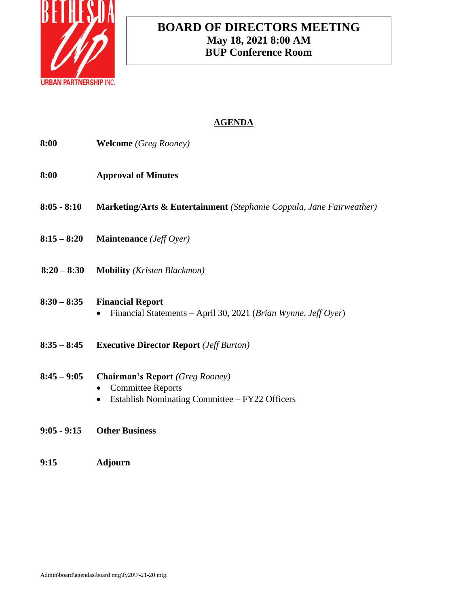

# **BOARD OF DIRECTORS MEETING May 18, 2021 8:00 AM BUP Conference Room**

# **AGENDA**

| 8:00        | <b>Welcome</b> (Greg Rooney)                                                                                                           |
|-------------|----------------------------------------------------------------------------------------------------------------------------------------|
| 8:00        | <b>Approval of Minutes</b>                                                                                                             |
|             | 8:05 - 8:10 Marketing/Arts & Entertainment (Stephanie Coppula, Jane Fairweather)                                                       |
|             | $8:15-8:20$ Maintenance ( <i>Jeff Oyer</i> )                                                                                           |
|             | 8:20 - 8:30 Mobility (Kristen Blackmon)                                                                                                |
|             | 8:30 - 8:35 Financial Report<br>Financial Statements - April 30, 2021 (Brian Wynne, Jeff Oyer)                                         |
|             | 8:35 - 8:45 Executive Director Report ( <i>Jeff Burton</i> )                                                                           |
|             | 8:45 - 9:05 Chairman's Report (Greg Rooney)<br><b>Committee Reports</b><br>Establish Nominating Committee - FY22 Officers<br>$\bullet$ |
| 9:05 - 9:15 | <b>Other Business</b>                                                                                                                  |

**9:15 Adjourn**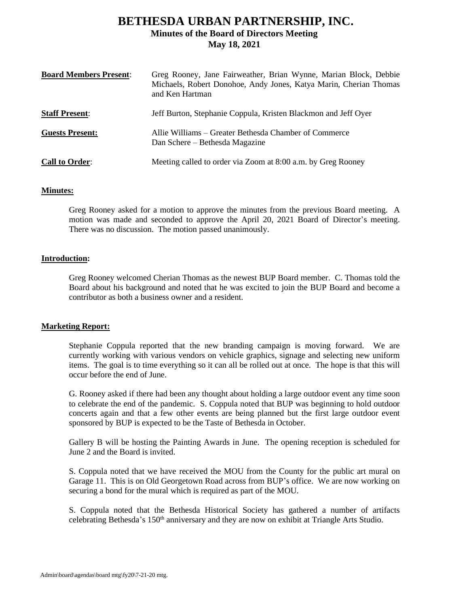# **BETHESDA URBAN PARTNERSHIP, INC. Minutes of the Board of Directors Meeting May 18, 2021**

| <b>Board Members Present:</b> | Greg Rooney, Jane Fairweather, Brian Wynne, Marian Block, Debbie<br>Michaels, Robert Donohoe, Andy Jones, Katya Marin, Cherian Thomas<br>and Ken Hartman |
|-------------------------------|----------------------------------------------------------------------------------------------------------------------------------------------------------|
| <b>Staff Present:</b>         | Jeff Burton, Stephanie Coppula, Kristen Blackmon and Jeff Oyer                                                                                           |
| <b>Guests Present:</b>        | Allie Williams – Greater Bethesda Chamber of Commerce<br>Dan Schere – Bethesda Magazine                                                                  |
| <b>Call to Order:</b>         | Meeting called to order via Zoom at 8:00 a.m. by Greg Rooney                                                                                             |

#### **Minutes:**

Greg Rooney asked for a motion to approve the minutes from the previous Board meeting. A motion was made and seconded to approve the April 20, 2021 Board of Director's meeting. There was no discussion. The motion passed unanimously.

#### **Introduction:**

Greg Rooney welcomed Cherian Thomas as the newest BUP Board member. C. Thomas told the Board about his background and noted that he was excited to join the BUP Board and become a contributor as both a business owner and a resident.

#### **Marketing Report:**

Stephanie Coppula reported that the new branding campaign is moving forward. We are currently working with various vendors on vehicle graphics, signage and selecting new uniform items. The goal is to time everything so it can all be rolled out at once. The hope is that this will occur before the end of June.

G. Rooney asked if there had been any thought about holding a large outdoor event any time soon to celebrate the end of the pandemic. S. Coppula noted that BUP was beginning to hold outdoor concerts again and that a few other events are being planned but the first large outdoor event sponsored by BUP is expected to be the Taste of Bethesda in October.

Gallery B will be hosting the Painting Awards in June. The opening reception is scheduled for June 2 and the Board is invited.

S. Coppula noted that we have received the MOU from the County for the public art mural on Garage 11. This is on Old Georgetown Road across from BUP's office. We are now working on securing a bond for the mural which is required as part of the MOU.

S. Coppula noted that the Bethesda Historical Society has gathered a number of artifacts celebrating Bethesda's 150th anniversary and they are now on exhibit at Triangle Arts Studio.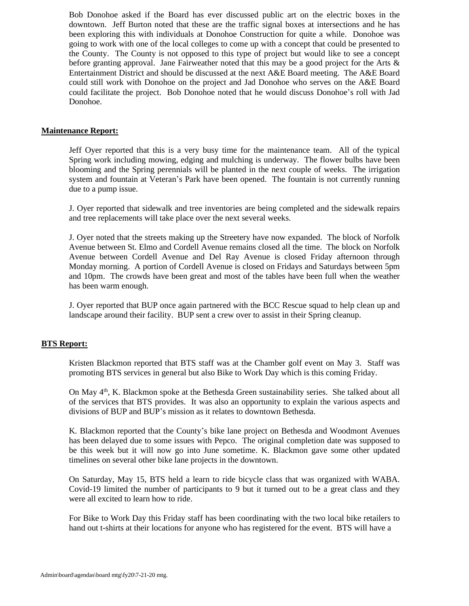Bob Donohoe asked if the Board has ever discussed public art on the electric boxes in the downtown. Jeff Burton noted that these are the traffic signal boxes at intersections and he has been exploring this with individuals at Donohoe Construction for quite a while. Donohoe was going to work with one of the local colleges to come up with a concept that could be presented to the County. The County is not opposed to this type of project but would like to see a concept before granting approval. Jane Fairweather noted that this may be a good project for the Arts & Entertainment District and should be discussed at the next A&E Board meeting. The A&E Board could still work with Donohoe on the project and Jad Donohoe who serves on the A&E Board could facilitate the project. Bob Donohoe noted that he would discuss Donohoe's roll with Jad Donohoe.

#### **Maintenance Report:**

Jeff Oyer reported that this is a very busy time for the maintenance team. All of the typical Spring work including mowing, edging and mulching is underway. The flower bulbs have been blooming and the Spring perennials will be planted in the next couple of weeks. The irrigation system and fountain at Veteran's Park have been opened. The fountain is not currently running due to a pump issue.

J. Oyer reported that sidewalk and tree inventories are being completed and the sidewalk repairs and tree replacements will take place over the next several weeks.

J. Oyer noted that the streets making up the Streetery have now expanded. The block of Norfolk Avenue between St. Elmo and Cordell Avenue remains closed all the time. The block on Norfolk Avenue between Cordell Avenue and Del Ray Avenue is closed Friday afternoon through Monday morning. A portion of Cordell Avenue is closed on Fridays and Saturdays between 5pm and 10pm. The crowds have been great and most of the tables have been full when the weather has been warm enough.

J. Oyer reported that BUP once again partnered with the BCC Rescue squad to help clean up and landscape around their facility. BUP sent a crew over to assist in their Spring cleanup.

#### **BTS Report:**

Kristen Blackmon reported that BTS staff was at the Chamber golf event on May 3. Staff was promoting BTS services in general but also Bike to Work Day which is this coming Friday.

On May  $4<sup>th</sup>$ , K. Blackmon spoke at the Bethesda Green sustainability series. She talked about all of the services that BTS provides. It was also an opportunity to explain the various aspects and divisions of BUP and BUP's mission as it relates to downtown Bethesda.

K. Blackmon reported that the County's bike lane project on Bethesda and Woodmont Avenues has been delayed due to some issues with Pepco. The original completion date was supposed to be this week but it will now go into June sometime. K. Blackmon gave some other updated timelines on several other bike lane projects in the downtown.

On Saturday, May 15, BTS held a learn to ride bicycle class that was organized with WABA. Covid-19 limited the number of participants to 9 but it turned out to be a great class and they were all excited to learn how to ride.

For Bike to Work Day this Friday staff has been coordinating with the two local bike retailers to hand out t-shirts at their locations for anyone who has registered for the event. BTS will have a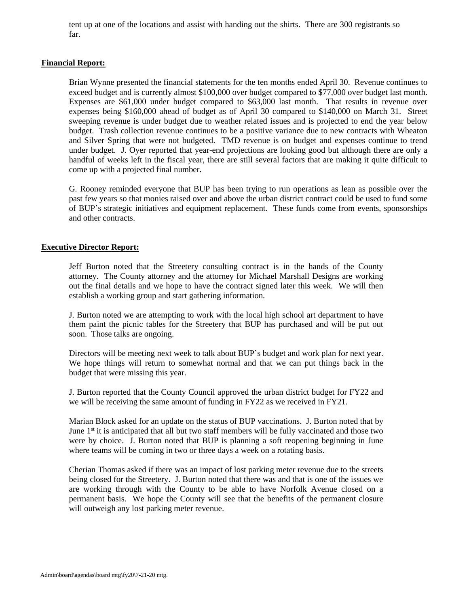tent up at one of the locations and assist with handing out the shirts. There are 300 registrants so far.

#### **Financial Report:**

Brian Wynne presented the financial statements for the ten months ended April 30. Revenue continues to exceed budget and is currently almost \$100,000 over budget compared to \$77,000 over budget last month. Expenses are \$61,000 under budget compared to \$63,000 last month. That results in revenue over expenses being \$160,000 ahead of budget as of April 30 compared to \$140,000 on March 31. Street sweeping revenue is under budget due to weather related issues and is projected to end the year below budget. Trash collection revenue continues to be a positive variance due to new contracts with Wheaton and Silver Spring that were not budgeted. TMD revenue is on budget and expenses continue to trend under budget. J. Oyer reported that year-end projections are looking good but although there are only a handful of weeks left in the fiscal year, there are still several factors that are making it quite difficult to come up with a projected final number.

G. Rooney reminded everyone that BUP has been trying to run operations as lean as possible over the past few years so that monies raised over and above the urban district contract could be used to fund some of BUP's strategic initiatives and equipment replacement. These funds come from events, sponsorships and other contracts.

#### **Executive Director Report:**

Jeff Burton noted that the Streetery consulting contract is in the hands of the County attorney. The County attorney and the attorney for Michael Marshall Designs are working out the final details and we hope to have the contract signed later this week. We will then establish a working group and start gathering information.

J. Burton noted we are attempting to work with the local high school art department to have them paint the picnic tables for the Streetery that BUP has purchased and will be put out soon. Those talks are ongoing.

Directors will be meeting next week to talk about BUP's budget and work plan for next year. We hope things will return to somewhat normal and that we can put things back in the budget that were missing this year.

J. Burton reported that the County Council approved the urban district budget for FY22 and we will be receiving the same amount of funding in FY22 as we received in FY21.

Marian Block asked for an update on the status of BUP vaccinations. J. Burton noted that by June 1<sup>st</sup> it is anticipated that all but two staff members will be fully vaccinated and those two were by choice. J. Burton noted that BUP is planning a soft reopening beginning in June where teams will be coming in two or three days a week on a rotating basis.

Cherian Thomas asked if there was an impact of lost parking meter revenue due to the streets being closed for the Streetery. J. Burton noted that there was and that is one of the issues we are working through with the County to be able to have Norfolk Avenue closed on a permanent basis. We hope the County will see that the benefits of the permanent closure will outweigh any lost parking meter revenue.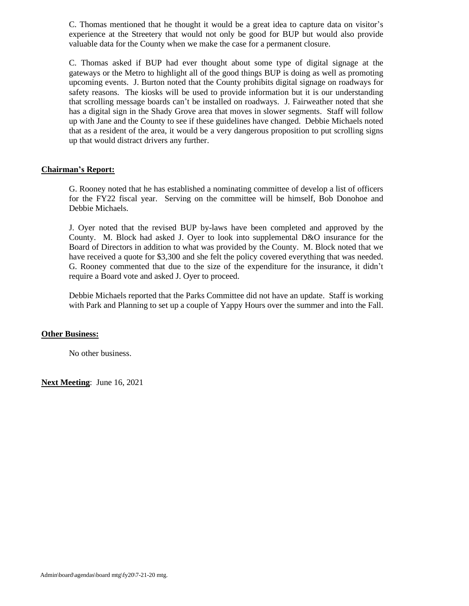C. Thomas mentioned that he thought it would be a great idea to capture data on visitor's experience at the Streetery that would not only be good for BUP but would also provide valuable data for the County when we make the case for a permanent closure.

C. Thomas asked if BUP had ever thought about some type of digital signage at the gateways or the Metro to highlight all of the good things BUP is doing as well as promoting upcoming events. J. Burton noted that the County prohibits digital signage on roadways for safety reasons. The kiosks will be used to provide information but it is our understanding that scrolling message boards can't be installed on roadways. J. Fairweather noted that she has a digital sign in the Shady Grove area that moves in slower segments. Staff will follow up with Jane and the County to see if these guidelines have changed. Debbie Michaels noted that as a resident of the area, it would be a very dangerous proposition to put scrolling signs up that would distract drivers any further.

#### **Chairman's Report:**

G. Rooney noted that he has established a nominating committee of develop a list of officers for the FY22 fiscal year. Serving on the committee will be himself, Bob Donohoe and Debbie Michaels.

J. Oyer noted that the revised BUP by-laws have been completed and approved by the County. M. Block had asked J. Oyer to look into supplemental D&O insurance for the Board of Directors in addition to what was provided by the County. M. Block noted that we have received a quote for \$3,300 and she felt the policy covered everything that was needed. G. Rooney commented that due to the size of the expenditure for the insurance, it didn't require a Board vote and asked J. Oyer to proceed.

Debbie Michaels reported that the Parks Committee did not have an update. Staff is working with Park and Planning to set up a couple of Yappy Hours over the summer and into the Fall.

#### **Other Business:**

No other business.

**Next Meeting**: June 16, 2021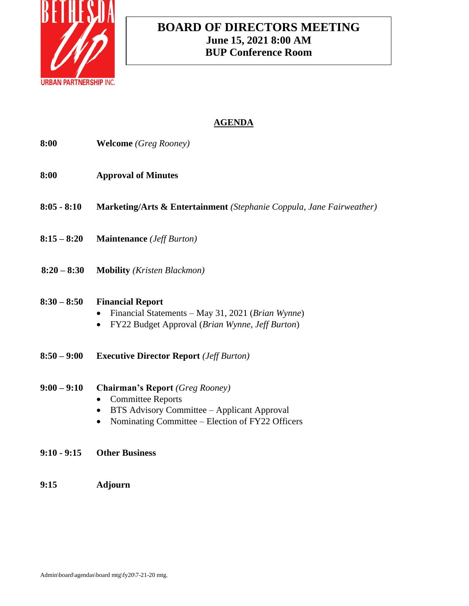

# **BOARD OF DIRECTORS MEETING June 15, 2021 8:00 AM BUP Conference Room**

# **AGENDA**

| 8:00          | <b>Welcome</b> (Greg Rooney)                                                                                                                                          |
|---------------|-----------------------------------------------------------------------------------------------------------------------------------------------------------------------|
| 8:00          | <b>Approval of Minutes</b>                                                                                                                                            |
| $8:05 - 8:10$ | Marketing/Arts & Entertainment (Stephanie Coppula, Jane Fairweather)                                                                                                  |
| $8:15 - 8:20$ | <b>Maintenance</b> ( <i>Jeff Burton</i> )                                                                                                                             |
| $8:20 - 8:30$ | <b>Mobility</b> ( <i>Kristen Blackmon</i> )                                                                                                                           |
| $8:30 - 8:50$ | <b>Financial Report</b><br>Financial Statements – May 31, 2021 (Brian Wynne)<br>FY22 Budget Approval (Brian Wynne, Jeff Burton)                                       |
| $8:50 - 9:00$ | <b>Executive Director Report</b> ( <i>Jeff Burton</i> )                                                                                                               |
| $9:00 - 9:10$ | <b>Chairman's Report</b> (Greg Rooney)<br><b>Committee Reports</b><br>BTS Advisory Committee - Applicant Approval<br>Nominating Committee - Election of FY22 Officers |
| $9:10 - 9:15$ | <b>Other Business</b>                                                                                                                                                 |

**9:15 Adjourn**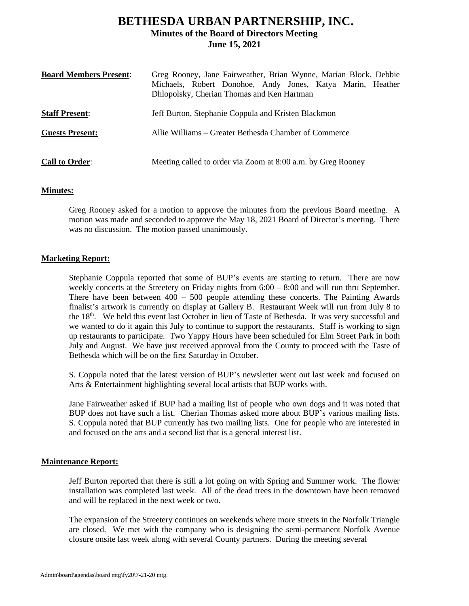## **BETHESDA URBAN PARTNERSHIP, INC. Minutes of the Board of Directors Meeting June 15, 2021**

| <b>Board Members Present:</b> | Greg Rooney, Jane Fairweather, Brian Wynne, Marian Block, Debbie<br>Michaels, Robert Donohoe, Andy Jones, Katya Marin, Heather<br>Dhlopolsky, Cherian Thomas and Ken Hartman |  |
|-------------------------------|------------------------------------------------------------------------------------------------------------------------------------------------------------------------------|--|
| <b>Staff Present:</b>         | Jeff Burton, Stephanie Coppula and Kristen Blackmon                                                                                                                          |  |
| <b>Guests Present:</b>        | Allie Williams – Greater Bethesda Chamber of Commerce                                                                                                                        |  |
| <b>Call to Order:</b>         | Meeting called to order via Zoom at 8:00 a.m. by Greg Rooney                                                                                                                 |  |

#### **Minutes:**

Greg Rooney asked for a motion to approve the minutes from the previous Board meeting. A motion was made and seconded to approve the May 18, 2021 Board of Director's meeting. There was no discussion. The motion passed unanimously.

#### **Marketing Report:**

Stephanie Coppula reported that some of BUP's events are starting to return. There are now weekly concerts at the Streetery on Friday nights from  $6:00 - 8:00$  and will run thru September. There have been between  $400 - 500$  people attending these concerts. The Painting Awards finalist's artwork is currently on display at Gallery B. Restaurant Week will run from July 8 to the  $18<sup>th</sup>$ . We held this event last October in lieu of Taste of Bethesda. It was very successful and we wanted to do it again this July to continue to support the restaurants. Staff is working to sign up restaurants to participate. Two Yappy Hours have been scheduled for Elm Street Park in both July and August. We have just received approval from the County to proceed with the Taste of Bethesda which will be on the first Saturday in October.

S. Coppula noted that the latest version of BUP's newsletter went out last week and focused on Arts & Entertainment highlighting several local artists that BUP works with.

Jane Fairweather asked if BUP had a mailing list of people who own dogs and it was noted that BUP does not have such a list. Cherian Thomas asked more about BUP's various mailing lists. S. Coppula noted that BUP currently has two mailing lists. One for people who are interested in and focused on the arts and a second list that is a general interest list.

#### **Maintenance Report:**

Jeff Burton reported that there is still a lot going on with Spring and Summer work. The flower installation was completed last week. All of the dead trees in the downtown have been removed and will be replaced in the next week or two.

The expansion of the Streetery continues on weekends where more streets in the Norfolk Triangle are closed. We met with the company who is designing the semi-permanent Norfolk Avenue closure onsite last week along with several County partners. During the meeting several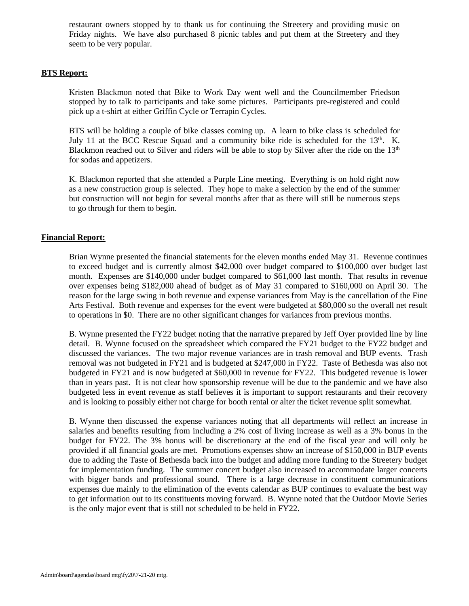restaurant owners stopped by to thank us for continuing the Streetery and providing music on Friday nights. We have also purchased 8 picnic tables and put them at the Streetery and they seem to be very popular.

#### **BTS Report:**

Kristen Blackmon noted that Bike to Work Day went well and the Councilmember Friedson stopped by to talk to participants and take some pictures. Participants pre-registered and could pick up a t-shirt at either Griffin Cycle or Terrapin Cycles.

BTS will be holding a couple of bike classes coming up. A learn to bike class is scheduled for July 11 at the BCC Rescue Squad and a community bike ride is scheduled for the 13<sup>th</sup>. K. Blackmon reached out to Silver and riders will be able to stop by Silver after the ride on the 13<sup>th</sup> for sodas and appetizers.

K. Blackmon reported that she attended a Purple Line meeting. Everything is on hold right now as a new construction group is selected. They hope to make a selection by the end of the summer but construction will not begin for several months after that as there will still be numerous steps to go through for them to begin.

#### **Financial Report:**

Brian Wynne presented the financial statements for the eleven months ended May 31. Revenue continues to exceed budget and is currently almost \$42,000 over budget compared to \$100,000 over budget last month. Expenses are \$140,000 under budget compared to \$61,000 last month. That results in revenue over expenses being \$182,000 ahead of budget as of May 31 compared to \$160,000 on April 30. The reason for the large swing in both revenue and expense variances from May is the cancellation of the Fine Arts Festival. Both revenue and expenses for the event were budgeted at \$80,000 so the overall net result to operations in \$0. There are no other significant changes for variances from previous months.

B. Wynne presented the FY22 budget noting that the narrative prepared by Jeff Oyer provided line by line detail. B. Wynne focused on the spreadsheet which compared the FY21 budget to the FY22 budget and discussed the variances. The two major revenue variances are in trash removal and BUP events. Trash removal was not budgeted in FY21 and is budgeted at \$247,000 in FY22. Taste of Bethesda was also not budgeted in FY21 and is now budgeted at \$60,000 in revenue for FY22. This budgeted revenue is lower than in years past. It is not clear how sponsorship revenue will be due to the pandemic and we have also budgeted less in event revenue as staff believes it is important to support restaurants and their recovery and is looking to possibly either not charge for booth rental or alter the ticket revenue split somewhat.

B. Wynne then discussed the expense variances noting that all departments will reflect an increase in salaries and benefits resulting from including a 2% cost of living increase as well as a 3% bonus in the budget for FY22. The 3% bonus will be discretionary at the end of the fiscal year and will only be provided if all financial goals are met. Promotions expenses show an increase of \$150,000 in BUP events due to adding the Taste of Bethesda back into the budget and adding more funding to the Streetery budget for implementation funding. The summer concert budget also increased to accommodate larger concerts with bigger bands and professional sound. There is a large decrease in constituent communications expenses due mainly to the elimination of the events calendar as BUP continues to evaluate the best way to get information out to its constituents moving forward. B. Wynne noted that the Outdoor Movie Series is the only major event that is still not scheduled to be held in FY22.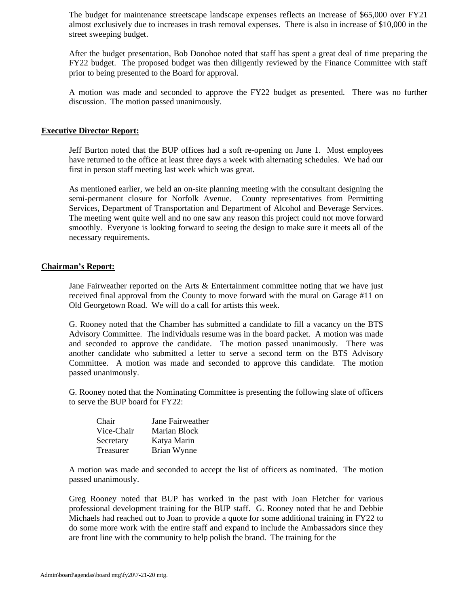The budget for maintenance streetscape landscape expenses reflects an increase of \$65,000 over FY21 almost exclusively due to increases in trash removal expenses. There is also in increase of \$10,000 in the street sweeping budget.

After the budget presentation, Bob Donohoe noted that staff has spent a great deal of time preparing the FY22 budget. The proposed budget was then diligently reviewed by the Finance Committee with staff prior to being presented to the Board for approval.

A motion was made and seconded to approve the FY22 budget as presented. There was no further discussion. The motion passed unanimously.

#### **Executive Director Report:**

Jeff Burton noted that the BUP offices had a soft re-opening on June 1. Most employees have returned to the office at least three days a week with alternating schedules. We had our first in person staff meeting last week which was great.

As mentioned earlier, we held an on-site planning meeting with the consultant designing the semi-permanent closure for Norfolk Avenue. County representatives from Permitting Services, Department of Transportation and Department of Alcohol and Beverage Services. The meeting went quite well and no one saw any reason this project could not move forward smoothly. Everyone is looking forward to seeing the design to make sure it meets all of the necessary requirements.

#### **Chairman's Report:**

Jane Fairweather reported on the Arts  $\&$  Entertainment committee noting that we have just received final approval from the County to move forward with the mural on Garage #11 on Old Georgetown Road. We will do a call for artists this week.

G. Rooney noted that the Chamber has submitted a candidate to fill a vacancy on the BTS Advisory Committee. The individuals resume was in the board packet. A motion was made and seconded to approve the candidate. The motion passed unanimously. There was another candidate who submitted a letter to serve a second term on the BTS Advisory Committee. A motion was made and seconded to approve this candidate. The motion passed unanimously.

G. Rooney noted that the Nominating Committee is presenting the following slate of officers to serve the BUP board for FY22:

| Chair      | Jane Fairweather |
|------------|------------------|
| Vice-Chair | Marian Block     |
| Secretary  | Katya Marin      |
| Treasurer  | Brian Wynne      |

A motion was made and seconded to accept the list of officers as nominated. The motion passed unanimously.

Greg Rooney noted that BUP has worked in the past with Joan Fletcher for various professional development training for the BUP staff. G. Rooney noted that he and Debbie Michaels had reached out to Joan to provide a quote for some additional training in FY22 to do some more work with the entire staff and expand to include the Ambassadors since they are front line with the community to help polish the brand. The training for the